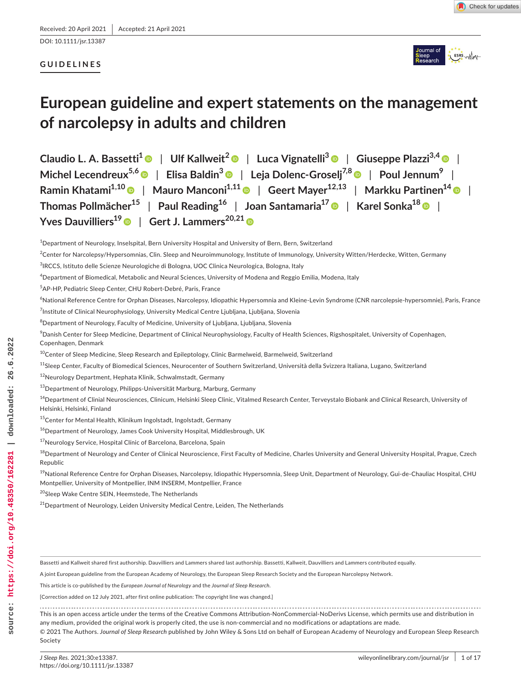DOI: 10.1111/jsr.13387

# **GUIDELINES**



# **European guideline and expert statements on the management of narcolepsy in adults and children**

**Claudio L. A. Bassetti[1](https://orcid.org/0000-0002-4535-0245)** | **Ulf Kallweit[2](https://orcid.org/0000-0003-1975-6919)** | **Luca Vignatelli[3](https://orcid.org/0000-0002-9051-7091)** | **Giuseppe Plazzi3,4** | **Michel Lecendreux5,6** | **Elisa Baldin[3](https://orcid.org/0000-0002-3277-5623)** | **Leja Dolenc-Groselj7,[8](https://orcid.org/0000-0002-8350-951X)** | **Poul Jennum9** | Ramin Khatami<sup>1,1[0](https://orcid.org/0000-0002-1092-6160)</sup> | Mauro Manconi<sup>[1](https://orcid.org/0000-0002-1849-7196),11</sup> | Geert Mayer<sup>12,13</sup> | Markku Partinen<sup>14</sup> | **| Thomas Pollmächer15** | **Paul Reading16** | **Joan Santamaria1[7](https://orcid.org/0000-0003-0879-4135)** | **Karel Sonka18** | **Yves** Dauvilliers<sup>1[9](https://orcid.org/0000-0003-0683-6506)</sup> | Gert J. Lammers<sup>20,2[1](https://orcid.org/0000-0003-4755-7060)</sup> ©

<sup>10</sup>Center of Sleep Medicine, Sleep Research and Epileptology, Clinic Barmelweid, Barmelweid, Switzerland

```
<sup>11</sup>Sleep Center, Faculty of Biomedical Sciences, Neurocenter of Southern Switzerland, Università della Svizzera Italiana, Lugano, Switzerland
```
12Neurology Department, Hephata Klinik, Schwalmstadt, Germany

13Department of Neurology, Philipps-Universität Marburg, Marburg, Germany

<sup>14</sup>Department of Clinial Neurosciences, Clinicum, Helsinki Sleep Clinic, Vitalmed Research Center, Terveystalo Biobank and Clinical Research, University of Helsinki, Helsinki, Finland

15Center for Mental Health, Klinikum Ingolstadt, Ingolstadt, Germany

<sup>16</sup> Department of Neurology, James Cook University Hospital, Middlesbrough, UK

<sup>17</sup>Neurology Service, Hospital Clínic of Barcelona, Barcelona, Spain

<sup>18</sup>Department of Neurology and Center of Clinical Neuroscience, First Faculty of Medicine, Charles University and General University Hospital, Prague, Czech Republic

<sup>19</sup>National Reference Centre for Orphan Diseases, Narcolepsy, Idiopathic Hypersomnia, Sleep Unit, Department of Neurology, Gui-de-Chauliac Hospital, CHU Montpellier, University of Montpellier, INM INSERM, Montpellier, France

20Sleep Wake Centre SEIN, Heemstede, The Netherlands

<sup>21</sup>Department of Neurology, Leiden University Medical Centre, Leiden, The Netherlands

Bassetti and Kallweit shared first authorship. Dauvilliers and Lammers shared last authorship. Bassetti, Kallweit, Dauvilliers and Lammers contributed equally.

A joint European guideline from the European Academy of Neurology, the European Sleep Research Society and the European Narcolepsy Network.

This article is co-published by the *European Journal of Neurology* and the *Journal of Sleep Research*.

[Correction added on 12 July 2021, after first online publication: The copyright line was changed.]

This is an open access article under the terms of the [Creative Commons Attribution-NonCommercial-NoDerivs](http://creativecommons.org/licenses/by-nc-nd/4.0/) License, which permits use and distribution in

any medium, provided the original work is properly cited, the use is non-commercial and no modifications or adaptations are made.

© 2021 The Authors. *Journal of Sleep Research* published by John Wiley & Sons Ltd on behalf of European Academy of Neurology and European Sleep Research Society

26,6,2022

downloaded:

 $^4$ Department of Neurology, Inselspital, Bern University Hospital and University of Bern, Bern, Switzerland

 $^2$ Center for Narcolepsy/Hypersomnias, Clin. Sleep and Neuroimmunology, Institute of Immunology, University Witten/Herdecke, Witten, Germany

<sup>3</sup> IRCCS, Istituto delle Scienze Neurologiche di Bologna, UOC Clinica Neurologica, Bologna, Italy

<sup>4</sup> Department of Biomedical, Metabolic and Neural Sciences, University of Modena and Reggio Emilia, Modena, Italy

<sup>5</sup> AP-HP, Pediatric Sleep Center, CHU Robert-Debré, Paris, France

<sup>6</sup> National Reference Centre for Orphan Diseases, Narcolepsy, Idiopathic Hypersomnia and Kleine-Levin Syndrome (CNR narcolepsie-hypersomnie), Paris, France  $^7$ Institute of Clinical Neurophysiology, University Medical Centre Ljubljana, Ljubljana, Slovenia

 $^8$ Department of Neurology, Faculty of Medicine, University of Ljubljana, Ljubljana, Slovenia

 $^9$ Danish Center for Sleep Medicine, Department of Clinical Neurophysiology, Faculty of Health Sciences, Rigshospitalet, University of Copenhagen, Copenhagen, Denmark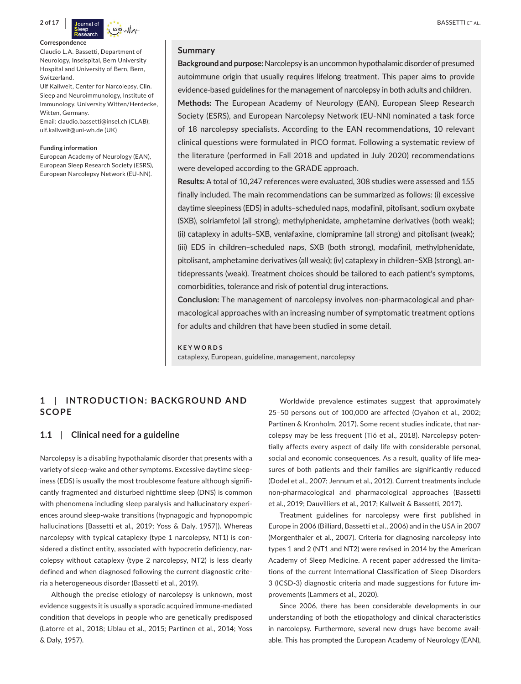

#### **Correspondence**

Claudio L.A. Bassetti, Department of Neurology, Inselspital, Bern University Hospital and University of Bern, Bern, Switzerland.

Ulf Kallweit, Center for Narcolepsy, Clin. Sleep and Neuroimmunology, Institute of Immunology, University Witten/Herdecke, Witten, Germany.

Email: [claudio.bassetti@insel.ch](mailto:claudio.bassetti@insel.ch) (CLAB); [ulf.kallweit@uni-wh.de](mailto:ulf.kallweit@uni-wh.de) (UK)

#### **Funding information**

European Academy of Neurology (EAN), European Sleep Research Society (ESRS), European Narcolepsy Network (EU-NN).

### **Summary**

**Background and purpose:** Narcolepsy is an uncommon hypothalamic disorder of presumed autoimmune origin that usually requires lifelong treatment. This paper aims to provide evidence-based guidelines for the management of narcolepsy in both adults and children.

**Methods:** The European Academy of Neurology (EAN), European Sleep Research Society (ESRS), and European Narcolepsy Network (EU-NN) nominated a task force of 18 narcolepsy specialists. According to the EAN recommendations, 10 relevant clinical questions were formulated in PICO format. Following a systematic review of the literature (performed in Fall 2018 and updated in July 2020) recommendations were developed according to the GRADE approach.

**Results:** A total of 10,247 references were evaluated, 308 studies were assessed and 155 finally included. The main recommendations can be summarized as follows: (i) excessive daytime sleepiness (EDS) in adults–scheduled naps, modafinil, pitolisant, sodium oxybate (SXB), solriamfetol (all strong); methylphenidate, amphetamine derivatives (both weak); (ii) cataplexy in adults–SXB, venlafaxine, clomipramine (all strong) and pitolisant (weak); (iii) EDS in children–scheduled naps, SXB (both strong), modafinil, methylphenidate, pitolisant, amphetamine derivatives (all weak); (iv) cataplexy in children–SXB (strong), antidepressants (weak). Treatment choices should be tailored to each patient's symptoms, comorbidities, tolerance and risk of potential drug interactions.

**Conclusion:** The management of narcolepsy involves non-pharmacological and pharmacological approaches with an increasing number of symptomatic treatment options for adults and children that have been studied in some detail.

**KEYWORDS**

cataplexy, European, guideline, management, narcolepsy

# **1**  | **INTRODUC TION: BACKGROUND AND SCOPE**

#### **1.1**  | **Clinical need for a guideline**

Narcolepsy is a disabling hypothalamic disorder that presents with a variety of sleep-wake and other symptoms. Excessive daytime sleepiness (EDS) is usually the most troublesome feature although significantly fragmented and disturbed nighttime sleep (DNS) is common with phenomena including sleep paralysis and hallucinatory experiences around sleep-wake transitions (hypnagogic and hypnopompic hallucinations [Bassetti et al., 2019; Yoss & Daly, 1957]). Whereas narcolepsy with typical cataplexy (type 1 narcolepsy, NT1) is considered a distinct entity, associated with hypocretin deficiency, narcolepsy without cataplexy (type 2 narcolepsy, NT2) is less clearly defined and when diagnosed following the current diagnostic criteria a heterogeneous disorder (Bassetti et al., 2019).

Although the precise etiology of narcolepsy is unknown, most evidence suggests it is usually a sporadic acquired immune-mediated condition that develops in people who are genetically predisposed (Latorre et al., 2018; Liblau et al., 2015; Partinen et al., 2014; Yoss & Daly, 1957).

Worldwide prevalence estimates suggest that approximately 25–50 persons out of 100,000 are affected (Oyahon et al., 2002; Partinen & Kronholm, 2017). Some recent studies indicate, that narcolepsy may be less frequent (Tió et al., 2018). Narcolepsy potentially affects every aspect of daily life with considerable personal, social and economic consequences. As a result, quality of life measures of both patients and their families are significantly reduced (Dodel et al., 2007; Jennum et al., 2012). Current treatments include non-pharmacological and pharmacological approaches (Bassetti et al., 2019; Dauvilliers et al., 2017; Kallweit & Bassetti, 2017).

Treatment guidelines for narcolepsy were first published in Europe in 2006 (Billiard, Bassetti et al., 2006) and in the USA in 2007 (Morgenthaler et al., 2007). Criteria for diagnosing narcolepsy into types 1 and 2 (NT1 and NT2) were revised in 2014 by the American Academy of Sleep Medicine. A recent paper addressed the limitations of the current International Classification of Sleep Disorders 3 (ICSD-3) diagnostic criteria and made suggestions for future improvements (Lammers et al., 2020).

Since 2006, there has been considerable developments in our understanding of both the etiopathology and clinical characteristics in narcolepsy. Furthermore, several new drugs have become available. This has prompted the European Academy of Neurology (EAN),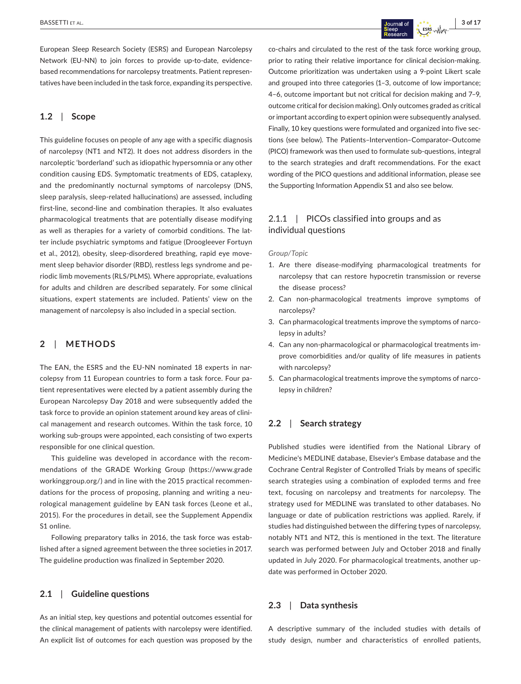European Sleep Research Society (ESRS) and European Narcolepsy Network (EU-NN) to join forces to provide up-to-date, evidencebased recommendations for narcolepsy treatments. Patient representatives have been included in the task force, expanding its perspective.

# **1.2**  | **Scope**

This guideline focuses on people of any age with a specific diagnosis of narcolepsy (NT1 and NT2). It does not address disorders in the narcoleptic 'borderland' such as idiopathic hypersomnia or any other condition causing EDS. Symptomatic treatments of EDS, cataplexy, and the predominantly nocturnal symptoms of narcolepsy (DNS, sleep paralysis, sleep-related hallucinations) are assessed, including first-line, second-line and combination therapies. It also evaluates pharmacological treatments that are potentially disease modifying as well as therapies for a variety of comorbid conditions. The latter include psychiatric symptoms and fatigue (Droogleever Fortuyn et al., 2012), obesity, sleep-disordered breathing, rapid eye movement sleep behavior disorder (RBD), restless legs syndrome and periodic limb movements (RLS/PLMS). Where appropriate, evaluations for adults and children are described separately. For some clinical situations, expert statements are included. Patients' view on the management of narcolepsy is also included in a special section.

# **2**  | **METHODS**

The EAN, the ESRS and the EU-NN nominated 18 experts in narcolepsy from 11 European countries to form a task force. Four patient representatives were elected by a patient assembly during the European Narcolepsy Day 2018 and were subsequently added the task force to provide an opinion statement around key areas of clinical management and research outcomes. Within the task force, 10 working sub-groups were appointed, each consisting of two experts responsible for one clinical question.

This guideline was developed in accordance with the recommendations of the GRADE Working Group [\(https://www.grade](https://www.gradeworkinggroup.org/) [workinggroup.org/\)](https://www.gradeworkinggroup.org/) and in line with the 2015 practical recommendations for the process of proposing, planning and writing a neurological management guideline by EAN task forces (Leone et al., 2015). For the procedures in detail, see the Supplement Appendix S1 online.

Following preparatory talks in 2016, the task force was established after a signed agreement between the three societies in 2017. The guideline production was finalized in September 2020.

# **2.1**  | **Guideline questions**

As an initial step, key questions and potential outcomes essential for the clinical management of patients with narcolepsy were identified. An explicit list of outcomes for each question was proposed by the co-chairs and circulated to the rest of the task force working group, prior to rating their relative importance for clinical decision-making. Outcome prioritization was undertaken using a 9-point Likert scale and grouped into three categories (1–3, outcome of low importance; 4–6, outcome important but not critical for decision making and 7–9, outcome critical for decision making). Only outcomes graded as critical or important according to expert opinion were subsequently analysed. Finally, 10 key questions were formulated and organized into five sections (see below). The Patients–Intervention–Comparator–Outcome (PICO) framework was then used to formulate sub-questions, integral to the search strategies and draft recommendations. For the exact wording of the PICO questions and additional information, please see the Supporting Information Appendix S1 and also see below.

# 2.1.1 | PICOs classified into groups and as individual questions

#### *Group/Topic*

- 1. Are there disease-modifying pharmacological treatments for narcolepsy that can restore hypocretin transmission or reverse the disease process?
- 2. Can non-pharmacological treatments improve symptoms of narcolepsy?
- 3. Can pharmacological treatments improve the symptoms of narcolepsy in adults?
- 4. Can any non-pharmacological or pharmacological treatments improve comorbidities and/or quality of life measures in patients with narcolepsy?
- 5. Can pharmacological treatments improve the symptoms of narcolepsy in children?

# **2.2**  | **Search strategy**

Published studies were identified from the National Library of Medicine's MEDLINE database, Elsevier's Embase database and the Cochrane Central Register of Controlled Trials by means of specific search strategies using a combination of exploded terms and free text, focusing on narcolepsy and treatments for narcolepsy. The strategy used for MEDLINE was translated to other databases. No language or date of publication restrictions was applied. Rarely, if studies had distinguished between the differing types of narcolepsy, notably NT1 and NT2, this is mentioned in the text. The literature search was performed between July and October 2018 and finally updated in July 2020. For pharmacological treatments, another update was performed in October 2020.

# **2.3**  | **Data synthesis**

A descriptive summary of the included studies with details of study design, number and characteristics of enrolled patients,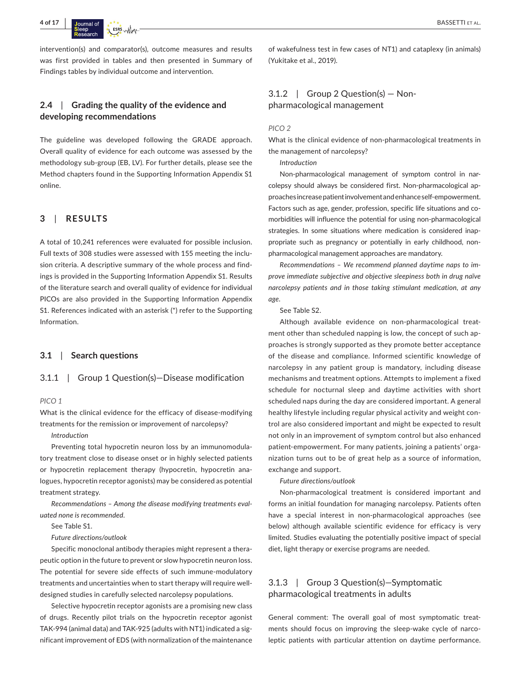

intervention(s) and comparator(s), outcome measures and results was first provided in tables and then presented in Summary of Findings tables by individual outcome and intervention.

# **2.4**  | **Grading the quality of the evidence and developing recommendations**

The guideline was developed following the GRADE approach. Overall quality of evidence for each outcome was assessed by the methodology sub-group (EB, LV). For further details, please see the Method chapters found in the Supporting Information Appendix S1 online.

# **3**  | **RESULTS**

A total of 10,241 references were evaluated for possible inclusion. Full texts of 308 studies were assessed with 155 meeting the inclusion criteria. A descriptive summary of the whole process and findings is provided in the Supporting Information Appendix S1. Results of the literature search and overall quality of evidence for individual PICOs are also provided in the Supporting Information Appendix S1. References indicated with an asterisk (\*) refer to the Supporting Information.

#### **3.1**  | **Search questions**

#### 3.1.1 | Group 1 Question(s)—Disease modification

#### *PICO 1*

What is the clinical evidence for the efficacy of disease-modifying treatments for the remission or improvement of narcolepsy?

*Introduction*

Preventing total hypocretin neuron loss by an immunomodulatory treatment close to disease onset or in highly selected patients or hypocretin replacement therapy (hypocretin, hypocretin analogues, hypocretin receptor agonists) may be considered as potential treatment strategy.

*Recommendations – Among the disease modifying treatments evaluated none is recommended.*

See Table S1.

*Future directions/outlook*

Specific monoclonal antibody therapies might represent a therapeutic option in the future to prevent or slow hypocretin neuron loss. The potential for severe side effects of such immune-modulatory treatments and uncertainties when to start therapy will require welldesigned studies in carefully selected narcolepsy populations.

Selective hypocretin receptor agonists are a promising new class of drugs. Recently pilot trials on the hypocretin receptor agonist TAK-994 (animal data) and TAK-925 (adults with NT1) indicated a significant improvement of EDS (with normalization of the maintenance

of wakefulness test in few cases of NT1) and cataplexy (in animals) (Yukitake et al., 2019).

# $3.1.2$  | Group 2 Question(s) – Nonpharmacological management

#### *PICO 2*

What is the clinical evidence of non-pharmacological treatments in the management of narcolepsy?

*Introduction*

Non-pharmacological management of symptom control in narcolepsy should always be considered first. Non-pharmacological approaches increase patient involvement and enhance self-empowerment. Factors such as age, gender, profession, specific life situations and comorbidities will influence the potential for using non-pharmacological strategies. In some situations where medication is considered inappropriate such as pregnancy or potentially in early childhood, nonpharmacological management approaches are mandatory.

*Recommendations – We recommend planned daytime naps to improve immediate subjective and objective sleepiness both in drug naïve narcolepsy patients and in those taking stimulant medication, at any age.*

See Table S2.

Although available evidence on non-pharmacological treatment other than scheduled napping is low, the concept of such approaches is strongly supported as they promote better acceptance of the disease and compliance. Informed scientific knowledge of narcolepsy in any patient group is mandatory, including disease mechanisms and treatment options. Attempts to implement a fixed schedule for nocturnal sleep and daytime activities with short scheduled naps during the day are considered important. A general healthy lifestyle including regular physical activity and weight control are also considered important and might be expected to result not only in an improvement of symptom control but also enhanced patient-empowerment. For many patients, joining a patients' organization turns out to be of great help as a source of information, exchange and support.

*Future directions/outlook*

Non-pharmacological treatment is considered important and forms an initial foundation for managing narcolepsy. Patients often have a special interest in non-pharmacological approaches (see below) although available scientific evidence for efficacy is very limited. Studies evaluating the potentially positive impact of special diet, light therapy or exercise programs are needed.

# 3.1.3 | Group 3 Question(s)—Symptomatic pharmacological treatments in adults

General comment: The overall goal of most symptomatic treatments should focus on improving the sleep-wake cycle of narcoleptic patients with particular attention on daytime performance.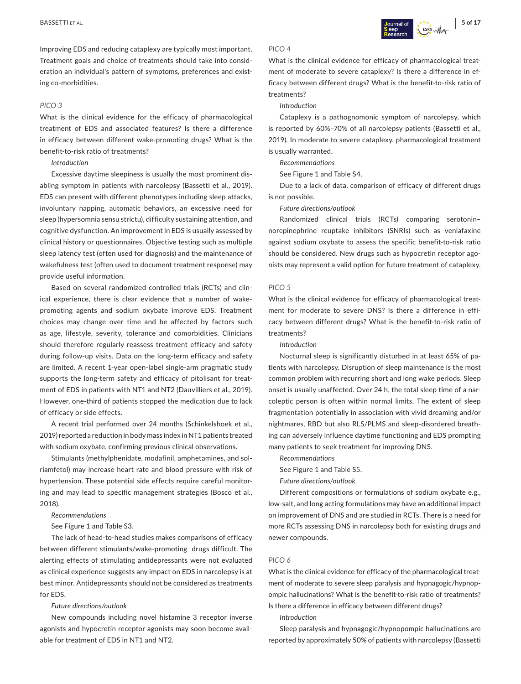Improving EDS and reducing cataplexy are typically most important. Treatment goals and choice of treatments should take into consideration an individual's pattern of symptoms, preferences and existing co-morbidities.

#### *PICO 3*

What is the clinical evidence for the efficacy of pharmacological treatment of EDS and associated features? Is there a difference in efficacy between different wake-promoting drugs? What is the benefit-to-risk ratio of treatments?

*Introduction*

Excessive daytime sleepiness is usually the most prominent disabling symptom in patients with narcolepsy (Bassetti et al., 2019). EDS can present with different phenotypes including sleep attacks, involuntary napping, automatic behaviors, an excessive need for sleep (hypersomnia sensu strictu), difficulty sustaining attention, and cognitive dysfunction. An improvement in EDS is usually assessed by clinical history or questionnaires. Objective testing such as multiple sleep latency test (often used for diagnosis) and the maintenance of wakefulness test (often used to document treatment response) may provide useful information.

Based on several randomized controlled trials (RCTs) and clinical experience, there is clear evidence that a number of wakepromoting agents and sodium oxybate improve EDS. Treatment choices may change over time and be affected by factors such as age, lifestyle, severity, tolerance and comorbidities. Clinicians should therefore regularly reassess treatment efficacy and safety during follow-up visits. Data on the long-term efficacy and safety are limited. A recent 1-year open-label single-arm pragmatic study supports the long-term safety and efficacy of pitolisant for treatment of EDS in patients with NT1 and NT2 (Dauvilliers et al., 2019). However, one-third of patients stopped the medication due to lack of efficacy or side effects.

A recent trial performed over 24 months (Schinkelshoek et al., 2019) reported a reduction in body mass index in NT1 patients treated with sodium oxybate, confirming previous clinical observations.

Stimulants (methylphenidate, modafinil, amphetamines, and solriamfetol) may increase heart rate and blood pressure with risk of hypertension. These potential side effects require careful monitoring and may lead to specific management strategies (Bosco et al., 2018).

#### *Recommendations*

See Figure 1 and Table S3.

The lack of head-to-head studies makes comparisons of efficacy between different stimulants/wake-promoting drugs difficult. The alerting effects of stimulating antidepressants were not evaluated as clinical experience suggests any impact on EDS in narcolepsy is at best minor. Antidepressants should not be considered as treatments for EDS.

#### *Future directions/outlook*

New compounds including novel histamine 3 receptor inverse agonists and hypocretin receptor agonists may soon become available for treatment of EDS in NT1 and NT2.

#### *PICO 4*

What is the clinical evidence for efficacy of pharmacological treatment of moderate to severe cataplexy? Is there a difference in efficacy between different drugs? What is the benefit-to-risk ratio of treatments?

#### *Introduction*

Cataplexy is a pathognomonic symptom of narcolepsy, which is reported by 60%–70% of all narcolepsy patients (Bassetti et al., 2019). In moderate to severe cataplexy, pharmacological treatment is usually warranted.

*Recommendations*

See Figure 1 and Table S4.

Due to a lack of data, comparison of efficacy of different drugs is not possible.

*Future directions/outlook*

Randomized clinical trials (RCTs) comparing serotonin– norepinephrine reuptake inhibitors (SNRIs) such as venlafaxine against sodium oxybate to assess the specific benefit-to-risk ratio should be considered. New drugs such as hypocretin receptor agonists may represent a valid option for future treatment of cataplexy.

#### *PICO 5*

What is the clinical evidence for efficacy of pharmacological treatment for moderate to severe DNS? Is there a difference in efficacy between different drugs? What is the benefit-to-risk ratio of treatments?

#### *Introduction*

Nocturnal sleep is significantly disturbed in at least 65% of patients with narcolepsy. Disruption of sleep maintenance is the most common problem with recurring short and long wake periods. Sleep onset is usually unaffected. Over 24 h, the total sleep time of a narcoleptic person is often within normal limits. The extent of sleep fragmentation potentially in association with vivid dreaming and/or nightmares, RBD but also RLS/PLMS and sleep-disordered breathing can adversely influence daytime functioning and EDS prompting many patients to seek treatment for improving DNS.

*Recommendations*

See Figure 1 and Table S5.

*Future directions/outlook*

Different compositions or formulations of sodium oxybate e.g., low-salt, and long acting formulations may have an additional impact on improvement of DNS and are studied in RCTs. There is a need for more RCTs assessing DNS in narcolepsy both for existing drugs and newer compounds.

#### *PICO 6*

What is the clinical evidence for efficacy of the pharmacological treatment of moderate to severe sleep paralysis and hypnagogic/hypnopompic hallucinations? What is the benefit-to-risk ratio of treatments? Is there a difference in efficacy between different drugs?

*Introduction*

Sleep paralysis and hypnagogic/hypnopompic hallucinations are reported by approximately 50% of patients with narcolepsy (Bassetti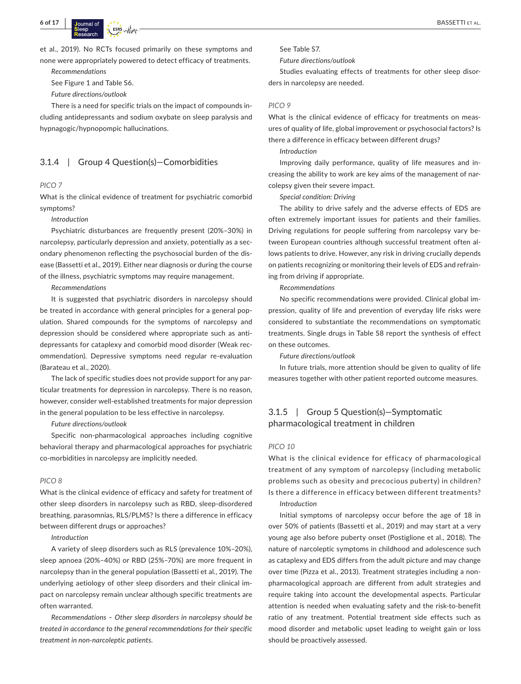et al., 2019). No RCTs focused primarily on these symptoms and none were appropriately powered to detect efficacy of treatments.

*Recommendations*

See Figure 1 and Table S6.

*Future directions/outlook*

There is a need for specific trials on the impact of compounds including antidepressants and sodium oxybate on sleep paralysis and hypnagogic/hypnopompic hallucinations.

### 3.1.4 | Group 4 Question(s)—Comorbidities

#### *PICO 7*

What is the clinical evidence of treatment for psychiatric comorbid symptoms?

#### *Introduction*

Psychiatric disturbances are frequently present (20%–30%) in narcolepsy, particularly depression and anxiety, potentially as a secondary phenomenon reflecting the psychosocial burden of the disease (Bassetti et al., 2019). Either near diagnosis or during the course of the illness, psychiatric symptoms may require management.

#### *Recommendations*

It is suggested that psychiatric disorders in narcolepsy should be treated in accordance with general principles for a general population. Shared compounds for the symptoms of narcolepsy and depression should be considered where appropriate such as antidepressants for cataplexy and comorbid mood disorder (Weak recommendation). Depressive symptoms need regular re-evaluation (Barateau et al., 2020).

The lack of specific studies does not provide support for any particular treatments for depression in narcolepsy. There is no reason, however, consider well-established treatments for major depression in the general population to be less effective in narcolepsy.

*Future directions/outlook*

Specific non-pharmacological approaches including cognitive behavioral therapy and pharmacological approaches for psychiatric co-morbidities in narcolepsy are implicitly needed.

#### *PICO 8*

What is the clinical evidence of efficacy and safety for treatment of other sleep disorders in narcolepsy such as RBD, sleep-disordered breathing, parasomnias, RLS/PLMS? Is there a difference in efficacy between different drugs or approaches?

#### *Introduction*

A variety of sleep disorders such as RLS (prevalence 10%–20%), sleep apnoea (20%–40%) or RBD (25%–70%) are more frequent in narcolepsy than in the general population (Bassetti et al., 2019). The underlying aetiology of other sleep disorders and their clinical impact on narcolepsy remain unclear although specific treatments are often warranted.

*Recommendations – Other sleep disorders in narcolepsy should be treated in accordance to the general recommendations for their specific treatment in non-narcoleptic patients.*

See Table S7.

*Future directions/outlook*

Studies evaluating effects of treatments for other sleep disorders in narcolepsy are needed.

#### *PICO 9*

What is the clinical evidence of efficacy for treatments on measures of quality of life, global improvement or psychosocial factors? Is there a difference in efficacy between different drugs?

*Introduction*

Improving daily performance, quality of life measures and increasing the ability to work are key aims of the management of narcolepsy given their severe impact.

*Special condition: Driving*

The ability to drive safely and the adverse effects of EDS are often extremely important issues for patients and their families. Driving regulations for people suffering from narcolepsy vary between European countries although successful treatment often allows patients to drive. However, any risk in driving crucially depends on patients recognizing or monitoring their levels of EDS and refraining from driving if appropriate.

#### *Recommendations*

No specific recommendations were provided. Clinical global impression, quality of life and prevention of everyday life risks were considered to substantiate the recommendations on symptomatic treatments. Single drugs in Table S8 report the synthesis of effect on these outcomes.

*Future directions/outlook*

In future trials, more attention should be given to quality of life measures together with other patient reported outcome measures.

# 3.1.5 | Group 5 Question(s)—Symptomatic pharmacological treatment in children

### *PICO 10*

What is the clinical evidence for efficacy of pharmacological treatment of any symptom of narcolepsy (including metabolic problems such as obesity and precocious puberty) in children? Is there a difference in efficacy between different treatments? *Introduction*

Initial symptoms of narcolepsy occur before the age of 18 in over 50% of patients (Bassetti et al., 2019) and may start at a very young age also before puberty onset (Postiglione et al., 2018). The nature of narcoleptic symptoms in childhood and adolescence such as cataplexy and EDS differs from the adult picture and may change over time (Pizza et al., 2013). Treatment strategies including a nonpharmacological approach are different from adult strategies and require taking into account the developmental aspects. Particular attention is needed when evaluating safety and the risk-to-benefit ratio of any treatment. Potential treatment side effects such as mood disorder and metabolic upset leading to weight gain or loss should be proactively assessed.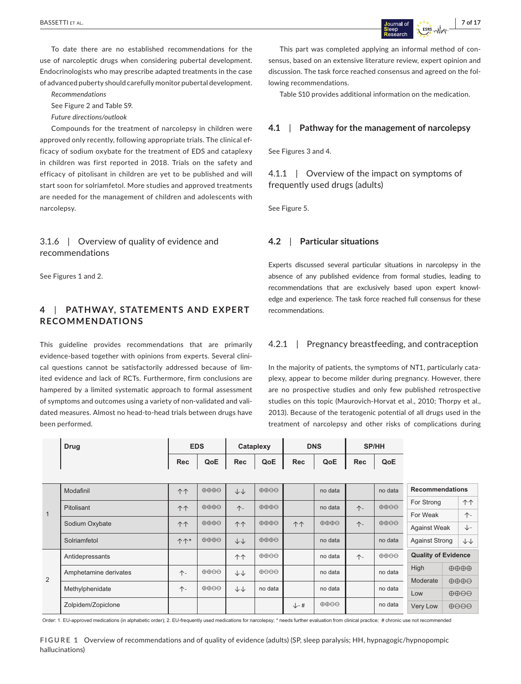To date there are no established recommendations for the use of narcoleptic drugs when considering pubertal development. Endocrinologists who may prescribe adapted treatments in the case of advanced puberty should carefully monitor pubertal development.

*Recommendations*

See Figure 2 and Table S9.

*Future directions/outlook*

Compounds for the treatment of narcolepsy in children were approved only recently, following appropriate trials. The clinical efficacy of sodium oxybate for the treatment of EDS and cataplexy in children was first reported in 2018. Trials on the safety and efficacy of pitolisant in children are yet to be published and will start soon for solriamfetol. More studies and approved treatments are needed for the management of children and adolescents with narcolepsy.

3.1.6 | Overview of quality of evidence and recommendations

See Figures 1 and 2.

# **4**  | **PATHWAY, STATEMENTS AND E XPERT RECOMMENDATIONS**

This guideline provides recommendations that are primarily evidence-based together with opinions from experts. Several clinical questions cannot be satisfactorily addressed because of limited evidence and lack of RCTs. Furthermore, firm conclusions are hampered by a limited systematic approach to formal assessment of symptoms and outcomes using a variety of non-validated and validated measures. Almost no head-to-head trials between drugs have been performed.

This part was completed applying an informal method of consensus, based on an extensive literature review, expert opinion and discussion. The task force reached consensus and agreed on the following recommendations.

Table S10 provides additional information on the medication.

### **4.1**  | **Pathway for the management of narcolepsy**

See Figures 3 and 4.

4.1.1 | Overview of the impact on symptoms of frequently used drugs (adults)

See Figure 5.

### **4.2**  | **Particular situations**

Experts discussed several particular situations in narcolepsy in the absence of any published evidence from formal studies, leading to recommendations that are exclusively based upon expert knowledge and experience. The task force reached full consensus for these recommendations.

### 4.2.1 **| Pregnancy breastfeeding, and contraception**

In the majority of patients, the symptoms of NT1, particularly cataplexy, appear to become milder during pregnancy. However, there are no prospective studies and only few published retrospective studies on this topic (Maurovich-Horvat et al., 2010; Thorpy et al., 2013). Because of the teratogenic potential of all drugs used in the treatment of narcolepsy and other risks of complications during

|              | <b>Drug</b>           |                       | <b>EDS</b>                     |              | Cataplexy                      |                  | <b>DNS</b>              |            | SP/HH                           |                            |  |                                 |
|--------------|-----------------------|-----------------------|--------------------------------|--------------|--------------------------------|------------------|-------------------------|------------|---------------------------------|----------------------------|--|---------------------------------|
|              |                       | Rec                   | QoE                            | <b>Rec</b>   | QoE                            | <b>Rec</b>       | QoE                     | <b>Rec</b> | QoE                             |                            |  |                                 |
|              |                       |                       |                                |              |                                |                  |                         |            |                                 |                            |  |                                 |
| $\mathbf{1}$ | Modafinil             | 个个                    | $\oplus \oplus \oplus \ominus$ | $++$         | $\oplus \oplus \ominus$        |                  | no data                 |            | no data                         | <b>Recommendations</b>     |  |                                 |
|              | Pitolisant            | 个个                    | $\oplus \oplus \oplus$         | $\uparrow$ - | $\oplus \oplus \oplus \ominus$ |                  | no data                 | $\uparrow$ | $\oplus \oplus \ominus \ominus$ | For Strong                 |  | 个个                              |
|              |                       |                       |                                |              |                                |                  |                         |            |                                 | For Weak                   |  | $\uparrow$                      |
|              | Sodium Oxybate        | 个个                    | $\oplus \oplus \oplus \ominus$ | <b>11</b>    | $\oplus \oplus \oplus \ominus$ | 个个               | $\oplus \oplus \oplus$  | $\uparrow$ | $\oplus$ $\oplus$ $\ominus$     | <b>Against Weak</b>        |  | ↓-                              |
|              | Solriamfetol          | $\uparrow \uparrow^*$ | $\oplus \oplus \oplus$         | $++$         | $\oplus \oplus \oplus \ominus$ |                  | no data                 |            | no data                         | <b>Against Strong</b>      |  | $\downarrow\downarrow$          |
| 2            | Antidepressants       |                       |                                | 个个           | $\oplus \oplus \ominus$        |                  | no data                 | 个-         | $\oplus \oplus \ominus \ominus$ | <b>Quality of Evidence</b> |  |                                 |
|              | Amphetamine derivates | $\uparrow$ -          | $\oplus \oplus \ominus$        | $+$          | $\oplus$ $\ominus$ $\ominus$   |                  | no data                 |            | no data                         | High<br>Moderate<br>Low    |  | $\oplus \oplus \oplus$          |
|              |                       |                       |                                |              |                                |                  |                         |            |                                 |                            |  | $\oplus \oplus \oplus \ominus$  |
|              | Methylphenidate       | $\uparrow$ -          | $\oplus \oplus \ominus$        | $+$          | no data                        |                  | no data                 |            | no data                         |                            |  | $\oplus \oplus \ominus \ominus$ |
|              | Zolpidem/Zopiclone    |                       |                                |              |                                | $\downarrow$ - # | $\oplus \oplus \ominus$ |            | no data                         | Very Low                   |  | $\oplus$ $\ominus$ $\ominus$    |

Order: 1. EU-approved medications (in alphabetic order); 2. EU-frequently used medications for narcolepsy; \* needs further evaluation from clinical practice; # chronic use not recommended

**FIGURE 1** Overview of recommendations and of quality of evidence (adults) (SP, sleep paralysis; HH, hypnagogic/hypnopompic hallucinations)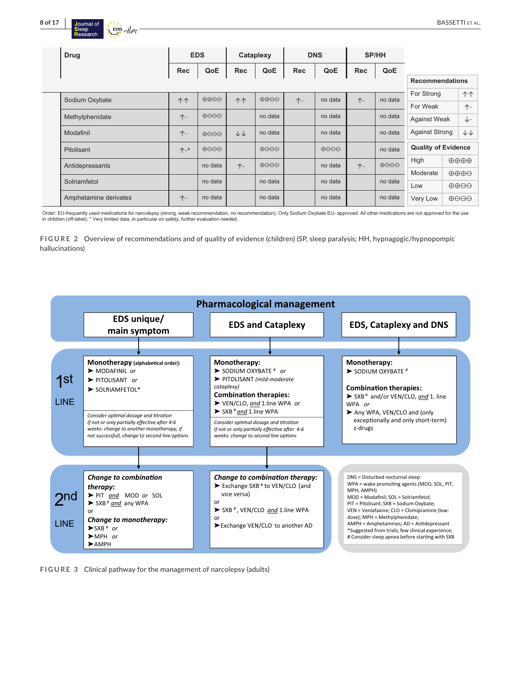

| <b>Drug</b>           | <b>EDS</b>    |                                     | Cataplexy              |                              | <b>DNS</b> |                              | <b>SP/HH</b> |                              |                            |  |                                 |
|-----------------------|---------------|-------------------------------------|------------------------|------------------------------|------------|------------------------------|--------------|------------------------------|----------------------------|--|---------------------------------|
|                       | <b>Rec</b>    | QoE                                 | <b>Rec</b>             | QoE                          | <b>Rec</b> | QoE                          | <b>Rec</b>   | QoE                          |                            |  |                                 |
|                       |               |                                     |                        |                              |            |                              |              |                              | <b>Recommendations</b>     |  |                                 |
| Sodium Oxybate        | 个个            | $\oplus \oplus \ominus \ominus$     | 个个                     | $\oplus \oplus \ominus$      | $\uparrow$ | no data                      | $\uparrow$   | no data                      | For Strong                 |  | 个个                              |
|                       |               |                                     |                        |                              |            |                              |              |                              | For Weak                   |  | $\uparrow$                      |
| Methylphenidate       | $\uparrow$    | $\oplus$ $\ominus$ $\ominus$        |                        | no data                      |            | no data                      |              | no data                      | <b>Against Weak</b>        |  | ↓−                              |
| Modafinil             | $\uparrow$    | $\theta$ $\Theta$ $\Theta$ $\theta$ | $\downarrow\downarrow$ | no data                      |            | no data                      |              | no data                      | <b>Against Strong</b>      |  | $+\ +$                          |
| <b>Pitolisant</b>     | $\Upsilon$ -* | $\oplus$ $\ominus$ $\ominus$        |                        | $\oplus$ $\ominus$ $\ominus$ |            | $\oplus$ $\ominus$ $\ominus$ |              | no data                      | <b>Quality of Evidence</b> |  |                                 |
| Antidepressants       |               | no data                             | $\uparrow$             | $\oplus$ $\ominus$ $\ominus$ |            | no data                      | $\uparrow$   | $\oplus$ $\ominus$ $\ominus$ | High                       |  | $\oplus \oplus \oplus$          |
|                       |               |                                     |                        |                              |            |                              |              |                              | Moderate                   |  | $\oplus \oplus \oplus \ominus$  |
| Solriamfetol          |               | no data                             |                        | no data                      |            | no data                      |              | no data                      | Low                        |  | $\oplus \oplus \ominus \ominus$ |
| Amphetamine derivates | $\uparrow$    | no data                             |                        | no data                      |            | no data                      |              | no data                      | Very Low                   |  | $\oplus$ $\ominus$ $\ominus$    |

Order: EU-frequently used medications for narcolepsy (strong, weak recommendation, no recommendation). Only Sodium Oxybate EU- approved. All other medications are not approved for the use<br>in children (off-label); \* Very li

**FIGURE 2** Overview of recommendations and of quality of evidence (children) (SP, sleep paralysis; HH, hypnagogic/hypnopompic hallucinations)



**FIGURE 3** Clinical pathway for the management of narcolepsy (adults)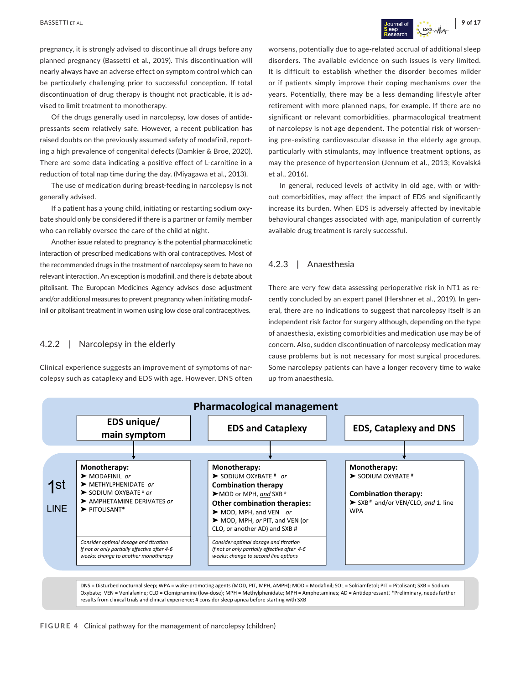pregnancy, it is strongly advised to discontinue all drugs before any planned pregnancy (Bassetti et al., 2019). This discontinuation will nearly always have an adverse effect on symptom control which can be particularly challenging prior to successful conception. If total discontinuation of drug therapy is thought not practicable, it is advised to limit treatment to monotherapy.

Of the drugs generally used in narcolepsy, low doses of antidepressants seem relatively safe. However, a recent publication has raised doubts on the previously assumed safety of modafinil, reporting a high prevalence of congenital defects (Damkier & Broe, 2020). There are some data indicating a positive effect of L-carnitine in a reduction of total nap time during the day. (Miyagawa et al., 2013).

The use of medication during breast-feeding in narcolepsy is not generally advised.

If a patient has a young child, initiating or restarting sodium oxybate should only be considered if there is a partner or family member who can reliably oversee the care of the child at night.

Another issue related to pregnancy is the potential pharmacokinetic interaction of prescribed medications with oral contraceptives. Most of the recommended drugs in the treatment of narcolepsy seem to have no relevant interaction. An exception is modafinil, and there is debate about pitolisant. The European Medicines Agency advises dose adjustment and/or additional measures to prevent pregnancy when initiating modafinil or pitolisant treatment in women using low dose oral contraceptives.

# 4.2.2 | Narcolepsy in the elderly

Clinical experience suggests an improvement of symptoms of narcolepsy such as cataplexy and EDS with age. However, DNS often worsens, potentially due to age-related accrual of additional sleep disorders. The available evidence on such issues is very limited. It is difficult to establish whether the disorder becomes milder or if patients simply improve their coping mechanisms over the years. Potentially, there may be a less demanding lifestyle after retirement with more planned naps, for example. If there are no significant or relevant comorbidities, pharmacological treatment of narcolepsy is not age dependent. The potential risk of worsening pre-existing cardiovascular disease in the elderly age group, particularly with stimulants, may influence treatment options, as may the presence of hypertension (Jennum et al., 2013; Kovalská et al., 2016).

In general, reduced levels of activity in old age, with or without comorbidities, may affect the impact of EDS and significantly increase its burden. When EDS is adversely affected by inevitable behavioural changes associated with age, manipulation of currently available drug treatment is rarely successful.

### 4.2.3 | Anaesthesia

There are very few data assessing perioperative risk in NT1 as recently concluded by an expert panel (Hershner et al., 2019). In general, there are no indications to suggest that narcolepsy itself is an independent risk factor for surgery although, depending on the type of anaesthesia, existing comorbidities and medication use may be of concern. Also, sudden discontinuation of narcolepsy medication may cause problems but is not necessary for most surgical procedures. Some narcolepsy patients can have a longer recovery time to wake up from anaesthesia.



DNS = Disturbed nocturnal sleep; WPA = wake-promoting agents (MOD, PIT, MPH, AMPH); MOD = Modafinil; SOL = Solriamfetol; PIT = Pitolisant; SXB = Sodium Oxybate; VEN = Venlafaxine; CLO = Clomipramine (low-dose); MPH = Methylphenidate; MPH = Amphetamines; AD = Andepressant; \*Preliminary, needs further results from clinical trials and clinical experience; # consider sleep apnea before starting with SXB

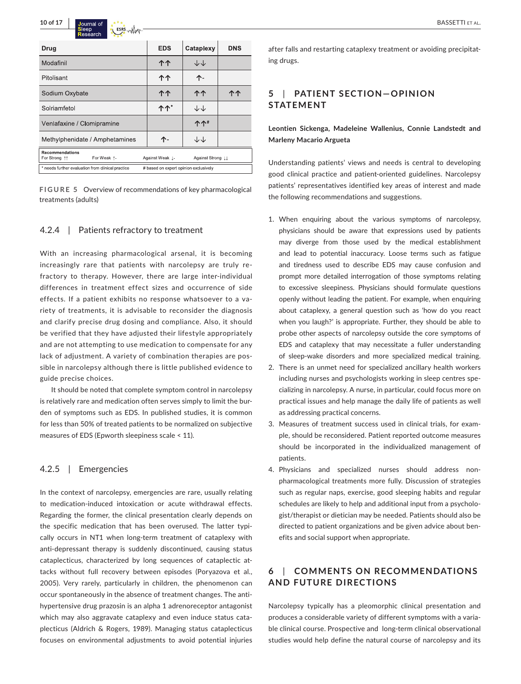

| Drug                                                   | <b>EDS</b>                            | Cataplexy         | <b>DNS</b> |  |  |  |
|--------------------------------------------------------|---------------------------------------|-------------------|------------|--|--|--|
| Modafinil                                              | 个个                                    | 小小                |            |  |  |  |
| Pitolisant                                             | 个个                                    | 个-                |            |  |  |  |
| Sodium Oxybate                                         | 个个                                    | 个个                | ጥ ጥ        |  |  |  |
| Solriamfetol                                           | <b>ለ</b> ተ                            | 小小                |            |  |  |  |
| Venlafaxine / Clomipramine                             |                                       | <b>个个#</b>        |            |  |  |  |
| Methylphenidate / Amphetamines                         | 个-                                    | ↓↓                |            |  |  |  |
| <b>Recommendations</b><br>For Weak 1-<br>For Strong 11 | Against Weak 1                        | Against Strong 11 |            |  |  |  |
| * needs further evaluation from clinical practice      | # based on expert opinion exclusively |                   |            |  |  |  |

**FIGURE 5** Overview of recommendations of key pharmacological treatments (adults)

### 4.2.4 | Patients refractory to treatment

With an increasing pharmacological arsenal, it is becoming increasingly rare that patients with narcolepsy are truly refractory to therapy. However, there are large inter-individual differences in treatment effect sizes and occurrence of side effects. If a patient exhibits no response whatsoever to a variety of treatments, it is advisable to reconsider the diagnosis and clarify precise drug dosing and compliance. Also, it should be verified that they have adjusted their lifestyle appropriately and are not attempting to use medication to compensate for any lack of adjustment. A variety of combination therapies are possible in narcolepsy although there is little published evidence to guide precise choices.

It should be noted that complete symptom control in narcolepsy is relatively rare and medication often serves simply to limit the burden of symptoms such as EDS. In published studies, it is common for less than 50% of treated patients to be normalized on subjective measures of EDS (Epworth sleepiness scale < 11).

### 4.2.5 | Emergencies

In the context of narcolepsy, emergencies are rare, usually relating to medication-induced intoxication or acute withdrawal effects. Regarding the former, the clinical presentation clearly depends on the specific medication that has been overused. The latter typically occurs in NT1 when long-term treatment of cataplexy with anti-depressant therapy is suddenly discontinued, causing status cataplecticus, characterized by long sequences of cataplectic attacks without full recovery between episodes (Poryazova et al., 2005). Very rarely, particularly in children, the phenomenon can occur spontaneously in the absence of treatment changes. The antihypertensive drug prazosin is an alpha 1 adrenoreceptor antagonist which may also aggravate cataplexy and even induce status cataplecticus (Aldrich & Rogers, 1989). Managing status cataplecticus focuses on environmental adjustments to avoid potential injuries

after falls and restarting cataplexy treatment or avoiding precipitating drugs.

# **5**  | **PATIENT SECTION—OPINION STATEMENT**

### **Leontien Sickenga, Madeleine Wallenius, Connie Landstedt and Marleny Macario Argueta**

Understanding patients' views and needs is central to developing good clinical practice and patient-oriented guidelines. Narcolepsy patients' representatives identified key areas of interest and made the following recommendations and suggestions.

- 1. When enquiring about the various symptoms of narcolepsy, physicians should be aware that expressions used by patients may diverge from those used by the medical establishment and lead to potential inaccuracy. Loose terms such as fatigue and tiredness used to describe EDS may cause confusion and prompt more detailed interrogation of those symptoms relating to excessive sleepiness. Physicians should formulate questions openly without leading the patient. For example, when enquiring about cataplexy, a general question such as 'how do you react when you laugh?' is appropriate. Further, they should be able to probe other aspects of narcolepsy outside the core symptoms of EDS and cataplexy that may necessitate a fuller understanding of sleep-wake disorders and more specialized medical training.
- 2. There is an unmet need for specialized ancillary health workers including nurses and psychologists working in sleep centres specializing in narcolepsy. A nurse, in particular, could focus more on practical issues and help manage the daily life of patients as well as addressing practical concerns.
- 3. Measures of treatment success used in clinical trials, for example, should be reconsidered. Patient reported outcome measures should be incorporated in the individualized management of patients.
- 4. Physicians and specialized nurses should address nonpharmacological treatments more fully. Discussion of strategies such as regular naps, exercise, good sleeping habits and regular schedules are likely to help and additional input from a psychologist/therapist or dietician may be needed. Patients should also be directed to patient organizations and be given advice about benefits and social support when appropriate.

# **6**  | **COMMENTS ON RECOMMENDATIONS AND FUTURE DIRECTIONS**

Narcolepsy typically has a pleomorphic clinical presentation and produces a considerable variety of different symptoms with a variable clinical course. Prospective and long-term clinical observational studies would help define the natural course of narcolepsy and its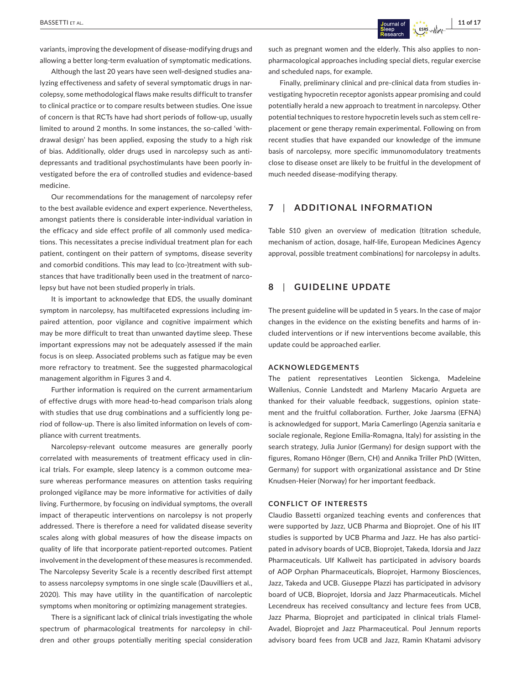variants, improving the development of disease-modifying drugs and allowing a better long-term evaluation of symptomatic medications.

Although the last 20 years have seen well-designed studies analyzing effectiveness and safety of several symptomatic drugs in narcolepsy, some methodological flaws make results difficult to transfer to clinical practice or to compare results between studies. One issue of concern is that RCTs have had short periods of follow-up, usually limited to around 2 months. In some instances, the so-called 'withdrawal design' has been applied, exposing the study to a high risk of bias. Additionally, older drugs used in narcolepsy such as antidepressants and traditional psychostimulants have been poorly investigated before the era of controlled studies and evidence-based medicine.

Our recommendations for the management of narcolepsy refer to the best available evidence and expert experience. Nevertheless, amongst patients there is considerable inter-individual variation in the efficacy and side effect profile of all commonly used medications. This necessitates a precise individual treatment plan for each patient, contingent on their pattern of symptoms, disease severity and comorbid conditions. This may lead to (co-)treatment with substances that have traditionally been used in the treatment of narcolepsy but have not been studied properly in trials.

It is important to acknowledge that EDS, the usually dominant symptom in narcolepsy, has multifaceted expressions including impaired attention, poor vigilance and cognitive impairment which may be more difficult to treat than unwanted daytime sleep. These important expressions may not be adequately assessed if the main focus is on sleep. Associated problems such as fatigue may be even more refractory to treatment. See the suggested pharmacological management algorithm in Figures 3 and 4.

Further information is required on the current armamentarium of effective drugs with more head-to-head comparison trials along with studies that use drug combinations and a sufficiently long period of follow-up. There is also limited information on levels of compliance with current treatments.

Narcolepsy-relevant outcome measures are generally poorly correlated with measurements of treatment efficacy used in clinical trials. For example, sleep latency is a common outcome measure whereas performance measures on attention tasks requiring prolonged vigilance may be more informative for activities of daily living. Furthermore, by focusing on individual symptoms, the overall impact of therapeutic interventions on narcolepsy is not properly addressed. There is therefore a need for validated disease severity scales along with global measures of how the disease impacts on quality of life that incorporate patient-reported outcomes. Patient involvement in the development of these measures is recommended. The Narcolepsy Severity Scale is a recently described first attempt to assess narcolepsy symptoms in one single scale (Dauvilliers et al., 2020). This may have utility in the quantification of narcoleptic symptoms when monitoring or optimizing management strategies.

There is a significant lack of clinical trials investigating the whole spectrum of pharmacological treatments for narcolepsy in children and other groups potentially meriting special consideration

such as pregnant women and the elderly. This also applies to nonpharmacological approaches including special diets, regular exercise and scheduled naps, for example.

Finally, preliminary clinical and pre-clinical data from studies investigating hypocretin receptor agonists appear promising and could potentially herald a new approach to treatment in narcolepsy. Other potential techniques to restore hypocretin levels such as stem cell replacement or gene therapy remain experimental. Following on from recent studies that have expanded our knowledge of the immune basis of narcolepsy, more specific immunomodulatory treatments close to disease onset are likely to be fruitful in the development of much needed disease-modifying therapy.

# **7**  | **ADDITIONAL INFORMATION**

Table S10 given an overview of medication (titration schedule, mechanism of action, dosage, half-life, European Medicines Agency approval, possible treatment combinations) for narcolepsy in adults.

### **8**  | **GUIDELINE UPDATE**

The present guideline will be updated in 5 years. In the case of major changes in the evidence on the existing benefits and harms of included interventions or if new interventions become available, this update could be approached earlier.

#### **ACKNOWLEDGEMENTS**

The patient representatives Leontien Sickenga, Madeleine Wallenius, Connie Landstedt and Marleny Macario Argueta are thanked for their valuable feedback, suggestions, opinion statement and the fruitful collaboration. Further, Joke Jaarsma (EFNA) is acknowledged for support, Maria Camerlingo (Agenzia sanitaria e sociale regionale, Regione Emilia-Romagna, Italy) for assisting in the search strategy, Julia Junior (Germany) for design support with the figures, Romano Hönger (Bern, CH) and Annika Triller PhD (Witten, Germany) for support with organizational assistance and Dr Stine Knudsen-Heier (Norway) for her important feedback.

### **CONFLICT OF INTERESTS**

Claudio Bassetti organized teaching events and conferences that were supported by Jazz, UCB Pharma and Bioprojet. One of his IIT studies is supported by UCB Pharma and Jazz. He has also participated in advisory boards of UCB, Bioprojet, Takeda, Idorsia and Jazz Pharmaceuticals. Ulf Kallweit has participated in advisory boards of AOP Orphan Pharmaceuticals, Bioprojet, Harmony Biosciences, Jazz, Takeda and UCB. Giuseppe Plazzi has participated in advisory board of UCB, Bioprojet, Idorsia and Jazz Pharmaceuticals. Michel Lecendreux has received consultancy and lecture fees from UCB, Jazz Pharma, Bioprojet and participated in clinical trials Flamel-Avadel, Bioprojet and Jazz Pharmaceutical. Poul Jennum reports advisory board fees from UCB and Jazz, Ramin Khatami advisory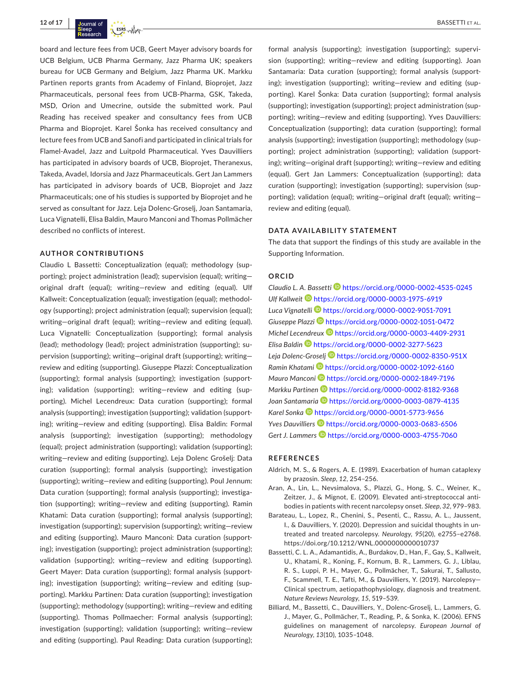board and lecture fees from UCB, Geert Mayer advisory boards for UCB Belgium, UCB Pharma Germany, Jazz Pharma UK; speakers bureau for UCB Germany and Belgium, Jazz Pharma UK. Markku Partinen reports grants from Academy of Finland, Bioprojet, Jazz Pharmaceuticals, personal fees from UCB-Pharma, GSK, Takeda, MSD, Orion and Umecrine, outside the submitted work. Paul Reading has received speaker and consultancy fees from UCB Pharma and Bioprojet. Karel Šonka has received consultancy and lecture fees from UCB and Sanofi and participated in clinical trials for Flamel-Avadel, Jazz and Luitpold Pharmaceutical. Yves Dauvilliers has participated in advisory boards of UCB, Bioprojet, Theranexus, Takeda, Avadel, Idorsia and Jazz Pharmaceuticals. Gert Jan Lammers has participated in advisory boards of UCB, Bioprojet and Jazz Pharmaceuticals; one of his studies is supported by Bioprojet and he served as consultant for Jazz. Leja Dolenc-Groselj, Joan Santamaria, Luca Vignatelli, Elisa Baldin, Mauro Manconi and Thomas Pollmächer described no conflicts of interest.

#### **AUTHOR CONTRIBUTIONS**

Claudio L Bassetti: Conceptualization (equal); methodology (supporting); project administration (lead); supervision (equal); writing original draft (equal); writing—review and editing (equal). Ulf Kallweit: Conceptualization (equal); investigation (equal); methodology (supporting); project administration (equal); supervision (equal); writing—original draft (equal); writing—review and editing (equal). Luca Vignatelli: Conceptualization (supporting); formal analysis (lead); methodology (lead); project administration (supporting); supervision (supporting); writing—original draft (supporting); writing review and editing (supporting). Giuseppe Plazzi: Conceptualization (supporting); formal analysis (supporting); investigation (supporting); validation (supporting); writing—review and editing (supporting). Michel Lecendreux: Data curation (supporting); formal analysis (supporting); investigation (supporting); validation (supporting); writing—review and editing (supporting). Elisa Baldin: Formal analysis (supporting); investigation (supporting); methodology (equal); project administration (supporting); validation (supporting); writing—review and editing (supporting). Leja Dolenc Grošelj: Data curation (supporting); formal analysis (supporting); investigation (supporting); writing—review and editing (supporting). Poul Jennum: Data curation (supporting); formal analysis (supporting); investigation (supporting); writing—review and editing (supporting). Ramin Khatami: Data curation (supporting); formal analysis (supporting); investigation (supporting); supervision (supporting); writing—review and editing (supporting). Mauro Manconi: Data curation (supporting); investigation (supporting); project administration (supporting); validation (supporting); writing—review and editing (supporting). Geert Mayer: Data curation (supporting); formal analysis (supporting); investigation (supporting); writing—review and editing (supporting). Markku Partinen: Data curation (supporting); investigation (supporting); methodology (supporting); writing—review and editing (supporting). Thomas Pollmaecher: Formal analysis (supporting); investigation (supporting); validation (supporting); writing—review and editing (supporting). Paul Reading: Data curation (supporting);

formal analysis (supporting); investigation (supporting); supervision (supporting); writing—review and editing (supporting). Joan Santamaria: Data curation (supporting); formal analysis (supporting); investigation (supporting); writing—review and editing (supporting). Karel Šonka: Data curation (supporting); formal analysis (supporting); investigation (supporting); project administration (supporting); writing—review and editing (supporting). Yves Dauvilliers: Conceptualization (supporting); data curation (supporting); formal analysis (supporting); investigation (supporting); methodology (supporting); project administration (supporting); validation (supporting); writing—original draft (supporting); writing—review and editing (equal). Gert Jan Lammers: Conceptualization (supporting); data curation (supporting); investigation (supporting); supervision (supporting); validation (equal); writing—original draft (equal); writing review and editing (equal).

#### **DATA AVAILABILITY STATEMENT**

The data that support the findings of this study are available in the Supporting Information.

#### **ORCID**

*Claudio L. A. Bassetti* <https://orcid.org/0000-0002-4535-0245> *Ulf Kallweit* <https://orcid.org/0000-0003-1975-6919> *Luca Vignatelli* <https://orcid.org/0000-0002-9051-7091> *Giuseppe Plazzi* <https://orcid.org/0000-0002-1051-0472> *Michel Lecendreux* **<https://orcid.org/0000-0003-4409-2931>** *Elisa Baldin* <https://orcid.org/0000-0002-3277-5623> *Leja Dolenc-Groselj* <https://orcid.org/0000-0002-8350-951X> *Ramin Khatam[i](https://orcid.org/0000-0002-1092-6160)* <https://orcid.org/0000-0002-1092-6160> *Mauro Manconi* <https://orcid.org/0000-0002-1849-7196> *Markku Partinen* <https://orcid.org/0000-0002-8182-9368> Joan Santamaria<sup>D</sup> <https://orcid.org/0000-0003-0879-4135> Karel Sonka<sup> 1</sup><https://orcid.org/0000-0001-5773-9656> *Yves Dauvillier[s](https://orcid.org/0000-0003-0683-6506)* <https://orcid.org/0000-0003-0683-6506> Gert J. Lammers<sup>1</sup> <https://orcid.org/0000-0003-4755-7060>

#### **REFERENCES**

- Aldrich, M. S., & Rogers, A. E. (1989). Exacerbation of human cataplexy by prazosin. *Sleep*, *12*, 254–256.
- Aran, A., Lin, L., Nevsimalova, S., Plazzi, G., Hong, S. C., Weiner, K., Zeitzer, J., & Mignot, E. (2009). Elevated anti-streptococcal antibodies in patients with recent narcolepsy onset. *Sleep*, *32*, 979–983.
- Barateau, L., Lopez, R., Chenini, S., Pesenti, C., Rassu, A. L., Jaussent, I., & Dauvilliers, Y. (2020). Depression and suicidal thoughts in untreated and treated narcolepsy. *Neurology*, *95*(20), e2755–e2768. <https://doi.org/10.1212/WNL.0000000000010737>
- Bassetti, C. L. A., Adamantidis, A., Burdakov, D., Han, F., Gay, S., Kallweit, U., Khatami, R., Koning, F., Kornum, B. R., Lammers, G. J., Liblau, R. S., Luppi, P. H., Mayer, G., Pollmächer, T., Sakurai, T., Sallusto, F., Scammell, T. E., Tafti, M., & Dauvilliers, Y. (2019). Narcolepsy— Clinical spectrum, aetiopathophysiology, diagnosis and treatment. *Nature Reviews Neurology*, *15*, 519–539.
- Billiard, M., Bassetti, C., Dauvilliers, Y., Dolenc-Groselj, L., Lammers, G. J., Mayer, G., Pollmächer, T., Reading, P., & Sonka, K. (2006). EFNS guidelines on management of narcolepsy. *European Journal of Neurology*, *13*(10), 1035–1048.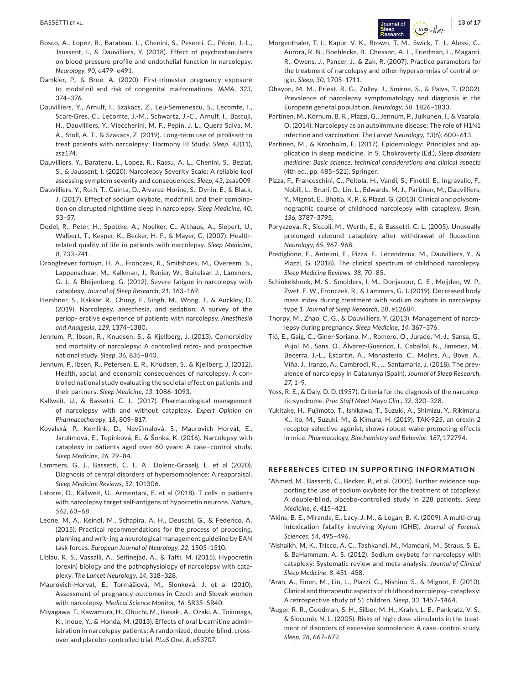- Bosco, A., Lopez, R., Barateau, L., Chenini, S., Pesenti, C., Pépin, J.-L., Jaussent, I., & Dauvilliers, Y. (2018). Effect of psychostimulants on blood pressure profile and endothelial function in narcolepsy. *Neurology*, *90*, e479–e491.
- Damkier, P., & Broe, A. (2020). First-trimester pregnancy exposure to modafinil and risk of congenital malformations. *JAMA*, *323*, 374–376.
- Dauvilliers, Y., Arnulf, I., Szakacs, Z., Leu-Semenescu, S., Lecomte, I., Scart-Gres, C., Lecomte, J.-M., Schwartz, J.-C., Arnulf, I., Bastuji, H., Dauvilliers, Y., Vieccherini, M. F., Pepin, J. L., Quera Salva, M. A., Stoll, A. T., & Szakacs, Z. (2019). Long-term use of pitolisant to treat patients with narcolepsy: Harmony III Study. *Sleep*. *42*(11), zsz174.
- Dauvilliers, Y., Barateau, L., Lopez, R., Rassu, A. L., Chenini, S., Beziat, S., & Jaussent, I. (2020). Narcolepsy Severity Scale: A reliable tool assessing symptom severity and consequences. *Sleep*, *43*, zsaa009.
- Dauvilliers, Y., Roth, T., Guinta, D., Alvarez-Horine, S., Dynin, E., & Black, J. (2017). Effect of sodium oxybate, modafinil, and their combination on disrupted nighttime sleep in narcolepsy. *Sleep Medicine*, *40*, 53–57.
- Dodel, R., Peter, H., Spottke, A., Noelker, C., Althaus, A., Siebert, U., Walbert, T., Kesper, K., Becker, H. F., & Mayer, G. (2007). Healthrelated quality of life in patients with narcolepsy. *Sleep Medicine*, *8*, 733–741.
- Droogleever fortuyn, H. A., Fronczek, R., Smitshoek, M., Overeem, S., Lappenschaar, M., Kalkman, J., Renier, W., Buitelaar, J., Lammers, G. J., & Bleijenberg, G. (2012). Severe fatigue in narcolepsy with cataplexy. *Journal of Sleep Research*, *21*, 163–169.
- Hershner, S., Kakkar, R., Chung, F., Singh, M., Wong, J., & Auckley, D. (2019). Narcolepsy, anesthesia, and sedation: A survey of the periop- erative experience of patients with narcolepsy. *Anesthesia and Analgesia*, *129*, 1374–1380.
- Jennum, P., Ibsen, R., Knudsen, S., & Kjellberg, J. (2013). Comorbidity and mortality of narcolepsy: A controlled retro- and prospective national study. *Sleep*, *36*, 835–840.
- Jennum, P., Ibsen, R., Petersen, E. R., Knudsen, S., & Kjellberg, J. (2012). Health, social, and economic consequences of narcolepsy: A controlled national study evaluating the societal effect on patients and their partners. *Sleep Medicine*, *13*, 1086–1093.
- Kallweit, U., & Bassetti, C. L. (2017). Pharmacological management of narcolepsy with and without cataplexy. *Expert Opinion on Pharmacotherapy*, *18*, 809–817.
- Kovalská, P., Kemlink, D., Nevšímalová, S., Maurovich Horvat, E., Jarolímová, E., Topinková, E., & Šonka, K. (2016). Narcolepsy with cataplexy in patients aged over 60 years: A case–control study. *Sleep Medicine*, *26*, 79–84.
- Lammers, G. J., Bassetti, C. L. A., Dolenc-Groselj, L. et al (2020). Diagnosis of central disorders of hypersomnolence: A reappraisal. *Sleep Medicine Reviews*, *52*, 101306.
- Latorre, D., Kallweit, U., Armentani, E. et al (2018). T cells in patients with narcolepsy target self-antigens of hypocretin neurons. *Nature*, *562*, 63–68.
- Leone, M. A., Keindl, M., Schapira, A. H., Deuschl, G., & Federico, A. (2015). Practical recommendations for the process of proposing, planning and writ- ing a neurological management guideline by EAN task forces. *European Journal of Neurology*, *22*, 1505–1510.
- Liblau, R. S., Vassalli, A., Seifinejad, A., & Tafti, M. (2015). Hypocretin (orexin) biology and the pathophysiology of narcolepsy with cataplexy. *The Lancet Neurology*, *14*, 318–328.
- Maurovich-Horvat, E., Tormášiová, M., Slonková, J. et al (2010). Assessment of pregnancy outcomes in Czech and Slovak women with narcolepsy. *Medical Science Monitor*, *16*, SR35–SR40.
- Miyagawa, T., Kawamura, H., Obuchi, M., Ikesaki, A., Ozaki, A., Tokunaga, K., Inoue, Y., & Honda, M. (2013). Effects of oral L-carnitine administration in narcolepsy patients: A randomized, double-blind, crossover and placebo-controlled trial. *PLoS One*, *8*, e53707.
- Morgenthaler, T. I., Kapur, V. K., Brown, T. M., Swick, T. J., Alessi, C., Aurora, R. N., Boehlecke, B., Chesson, A. L., Friedman, L., Maganti, R., Owens, J., Pancer, J., & Zak, R. (2007). Practice parameters for the treatment of narcolepsy and other hypersomnias of central origin. *Sleep*, *30*, 1705–1711.
- Ohayon, M. M., Priest, R. G., Zulley, J., Smirne, S., & Paiva, T. (2002). Prevalence of narcolepsy symptomatology and diagnosis in the European general population. *Neurology*, *58*, 1826–1833.
- Partinen, M., Kornum, B. R., Plazzi, G., Jennum, P., Julkunen, I., & Vaarala, O. (2014). Narcolepsy as an autoimmune disease: The role of H1N1 infection and vaccination. *The Lancet Neurology*, *13*(6), 600–613.
- Partinen, M., & Kronholm, E. (2017). Epidemiology: Principles and application in sleep medicine. In S. Chokroverty (Ed.), *Sleep disorders medicine: Basic science, technical considerations and clinical aspects* (4th ed., pp. 485–521). Springer.
- Pizza, F., Franceschini, C., Peltola, H., Vandi, S., Finotti, E., Ingravallo, F., Nobili, L., Bruni, O., Lin, L., Edwards, M. J., Partinen, M., Dauvilliers, Y., Mignot, E., Bhatia, K. P., & Plazzi, G. (2013). Clinical and polysomnographic course of childhood narcolepsy with cataplexy. *Brain*, *136*, 3787–3795.
- Poryazova, R., Siccoli, M., Werth, E., & Bassetti, C. L. (2005). Unusually prolonged rebound cataplexy after withdrawal of fluoxetine. *Neurology*, *65*, 967–968.
- Postiglione, E., Antelmi, E., Pizza, F., Lecendreux, M., Dauvilliers, Y., & Plazzi, G. (2018). The clinical spectrum of childhood narcolepsy. *Sleep Medicine Reviews*, *38*, 70–85.
- Schinkelshoek, M. S., Smolders, I. M., Donjacour, C. E., Meijden, W. P., Zwet, E. W., Fronczek, R., & Lammers, G. J. (2019). Decreased body mass index during treatment with sodium oxybate in narcolepsy type 1. *Journal of Sleep Research*, *28*, e12684.
- Thorpy, M., Zhao, C. G., & Dauvilliers, Y. (2013). Management of narcolepsy during pregnancy. *Sleep Medicine*, *14*, 367–376.
- Tió, E., Gaig, C., Giner-Soriano, M., Romero, O., Jurado, M.-J., Sansa, G., Pujol, M., Sans, O., Álvarez-Guerrico, I., Caballol, N., Jimenez, M., Becerra, J.-L., Escartin, A., Monasterio, C., Molins, A., Bove, A., Viña, J., Iranzo, A., Cambrodi, R., … Santamaria, J. (2018). The prevalence of narcolepsy in Catalunya (Spain). *Journal of Sleep Research*, *27*, 1–9.
- Yoss, R. E., & Daly, D. D. (1957). Criteria for the diagnosis of the narcoleptic syndrome. *Proc Staff Meet Mayo Clin.*, *32*, 320–328.
- Yukitake, H., Fujimoto, T., Ishikawa, T., Suzuki, A., Shimizu, Y., Rikimaru, K., Ito, M., Suzuki, M., & Kimura, H. (2019). TAK-925, an orexin 2 receptor-selective agonist, shows robust wake-promoting effects in mice. *Pharmacology, Biochemistry and Behavior*, *187*, 172794.

#### **REFERENCES CITED IN SUPPORTING INFORMATION**

- \*Ahmed, M., Bassetti, C., Becker, P., et al. (2005). Further evidence supporting the use of sodium oxybate for the treatment of cataplexy: A double-blind, placebo-controlled study in 228 patients. *Sleep Medicine*, *6*, 415–421.
- \*Akins, B. E., Miranda, E., Lacy, J. M., & Logan, B. K. (2009). A multi-drug intoxication fatality involving Xyrem (GHB). *Journal of Forensic Sciences*, *54*, 495–496.
- \*Alshaikh, M. K., Tricco, A. C., Tashkandi, M., Mamdani, M., Straus, S. E., & BaHammam, A. S. (2012). Sodium oxybate for narcolepsy with cataplexy: Systematic review and meta-analysis. *Journal of Clinical Sleep Medicine*, *8*, 451–458.
- \*Aran, A., Einen, M., Lin, L., Plazzi, G., Nishino, S., & Mignot, E. (2010). Clinical and therapeutic aspects of childhood narcolepsy–cataplexy: A retrospective study of 51 children. *Sleep*, *33*, 1457–1464.
- \*Auger, R. R., Goodman, S. H., Silber, M. H., Krahn, L. E., Pankratz, V. S., & Slocumb, N. L. (2005). Risks of high-dose stimulants in the treatment of disorders of excessive somnolence: A case–control study. *Sleep*, *28*, 667–672.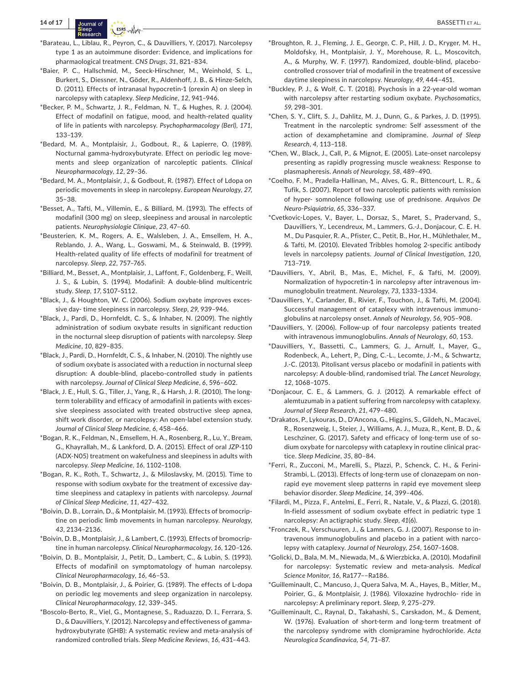- \*Barateau, L., Liblau, R., Peyron, C., & Dauvilliers, Y. (2017). Narcolepsy type 1 as an autoimmune disorder: Evidence, and implications for pharmaological treatment. *CNS Drugs*, *31*, 821–834.
- \*Baier, P. C., Hallschmid, M., Seeck-Hirschner, M., Weinhold, S. L., Burkert, S., Diessner, N., Göder, R., Aldenhoff, J. B., & Hinze-Selch, D. (2011). Effects of intranasal hypocretin-1 (orexin A) on sleep in narcolepsy with cataplexy. *Sleep Medicine*, *12*, 941–946.
- \*Becker, P. M., Schwartz, J. R., Feldman, N. T., & Hughes, R. J. (2004). Effect of modafinil on fatigue, mood, and health-related quality of life in patients with narcolepsy. *Psychopharmacology (Berl)*, *171*, 133–139.
- \*Bedard, M. A., Montplaisir, J., Godbout, R., & Lapierre, O. (1989). Nocturnal gamma-hydroxybutyrate. Effect on periodic leg movements and sleep organization of narcoleptic patients. *Clinical Neuropharmacology*, *12*, 29–36.
- \*Bedard, M. A., Montplaisir, J., & Godbout, R. (1987). Effect of Ldopa on periodic movements in sleep in narcolepsy. *European Neurology*, *27*, 35–38.
- \*Besset, A., Tafti, M., Villemin, E., & Billiard, M. (1993). The effects of modafinil (300 mg) on sleep, sleepiness and arousal in narcoleptic patients. *Neurophysiologie Clinique*, *23*, 47–60.
- \*Beusterien, K. M., Rogers, A. E., Walsleben, J. A., Emsellem, H. A., Reblando, J. A., Wang, L., Goswami, M., & Steinwald, B. (1999). Health-related quality of life effects of modafinil for treatment of narcolepsy. *Sleep*, *22*, 757–765.
- \*Billiard, M., Besset, A., Montplaisir, J., Laffont, F., Goldenberg, F., Weill, J. S., & Lubin, S. (1994). Modafinil: A double-blind multicentric study. *Sleep*, *17*, S107–S112.
- \*Black, J., & Houghton, W. C. (2006). Sodium oxybate improves excessive day- time sleepiness in narcolepsy. *Sleep*, *29*, 939–946.
- \*Black, J., Pardi, D., Hornfeldt, C. S., & Inhaber, N. (2009). The nightly administration of sodium oxybate results in significant reduction in the nocturnal sleep disruption of patients with narcolepsy. *Sleep Medicine*, *10*, 829–835.
- \*Black, J., Pardi, D., Hornfeldt, C. S., & Inhaber, N. (2010). The nightly use of sodium oxybate is associated with a reduction in nocturnal sleep disruption: A double-blind, placebo-controlled study in patients with narcolepsy. *Journal of Clinical Sleep Medicine*, *6*, 596–602.
- \*Black, J. E., Hull, S. G., Tiller, J., Yang, R., & Harsh, J. R. (2010). The longterm tolerability and efficacy of armodafinil in patients with excessive sleepiness associated with treated obstructive sleep apnea, shift work disorder, or narcolepsy: An open-label extension study. *Journal of Clinical Sleep Medicine*, *6*, 458–466.
- \*Bogan, R. K., Feldman, N., Emsellem, H. A., Rosenberg, R., Lu, Y., Bream, G., Khayrallah, M., & Lankford, D. A. (2015). Effect of oral JZP-110 (ADX-N05) treatment on wakefulness and sleepiness in adults with narcolepsy. *Sleep Medicine*, *16*, 1102–1108.
- \*Bogan, R. K., Roth, T., Schwartz, J., & Miloslavsky, M. (2015). Time to response with sodium oxybate for the treatment of excessive daytime sleepiness and cataplexy in patients with narcolepsy. *Journal of Clinical Sleep Medicine*, *11*, 427–432.
- \*Boivin, D. B., Lorrain, D., & Montplaisir, M. (1993). Effects of bromocriptine on periodic limb movements in human narcolepsy. *Neurology*, *43*, 2134–2136.
- \*Boivin, D. B., Montplaisir, J., & Lambert, C. (1993). Effects of bromocriptine in human narcolepsy. *Clinical Neuropharmacology*, *16*, 120–126.
- \*Boivin, D. B., Montplaisir, J., Petit, D., Lambert, C., & Lubin, S. (1993). Effects of modafinil on symptomatology of human narcolepsy. *Clinical Neuropharmacology*, *16*, 46–53.
- \*Boivin, D. B., Montplaisir, J., & Poirier, G. (1989). The effects of L-dopa on periodic leg movements and sleep organization in narcolepsy. *Clinical Neuropharmacology*, *12*, 339–345.
- \*Boscolo-Berto, R., Viel, G., Montagnese, S., Raduazzo, D. I., Ferrara, S. D., & Dauvilliers, Y. (2012). Narcolepsy and effectiveness of gammahydroxybutyrate (GHB): A systematic review and meta-analysis of randomized controlled trials. *Sleep Medicine Reviews*, *16*, 431–443.
- \*Broughton, R. J., Fleming, J. E., George, C. P., Hill, J. D., Kryger, M. H., Moldofsky, H., Montplaisir, J. Y., Morehouse, R. L., Moscovitch, A., & Murphy, W. F. (1997). Randomized, double-blind, placebocontrolled crossover trial of modafinil in the treatment of excessive daytime sleepiness in narcolepsy. *Neurology*, *49*, 444–451.
- \*Buckley, P. J., & Wolf, C. T. (2018). Psychosis in a 22-year-old woman with narcolepsy after restarting sodium oxybate. *Psychosomatics*, *59*, 298–301.
- \*Chen, S. Y., Clift, S. J., Dahlitz, M. J., Dunn, G., & Parkes, J. D. (1995). Treatment in the narcoleptic syndrome: Self assessment of the action of dexamphetamine and clomipramine. *Journal of Sleep Research*, *4*, 113–118.
- \*Chen, W., Black, J., Call, P., & Mignot, E. (2005). Late-onset narcolepsy presenting as rapidly progressing muscle weakness: Response to plasmapheresis. *Annals of Neurology*, *58*, 489–490.
- \*Coelho, F. M., Pradella-Hallinan, M., Alves, G. R., Bittencourt, L. R., & Tufik, S. (2007). Report of two narcoleptic patients with remission of hyper- somnolence following use of prednisone. *Arquivos De Neuro-Psiquiatria*, *65*, 336–337.
- \*Cvetkovic-Lopes, V., Bayer, L., Dorsaz, S., Maret, S., Pradervand, S., Dauvilliers, Y., Lecendreux, M., Lammers, G.-J., Donjacour, C. E. H. M., Du Pasquier, R. A., Pfister, C., Petit, B., Hor, H., Mühlethaler, M., & Tafti, M. (2010). Elevated Tribbles homolog 2-specific antibody levels in narcolepsy patients. *Journal of Clinical Investigation*, *120*, 713–719.
- \*Dauvilliers, Y., Abril, B., Mas, E., Michel, F., & Tafti, M. (2009). Normalization of hypocretin-1 in narcolepsy after intravenous immunoglobulin treatment. *Neurology*, *73*, 1333–1334.
- \*Dauvilliers, Y., Carlander, B., Rivier, F., Touchon, J., & Tafti, M. (2004). Successful management of cataplexy with intravenous immunoglobulins at narcolepsy onset. *Annals of Neurology*, *56*, 905–908.
- \*Dauvilliers, Y. (2006). Follow-up of four narcolepsy patients treated with intravenous immunoglobulins. *Annals of Neurology*, *60*, 153.
- \*Dauvilliers, Y., Bassetti, C., Lammers, G. J., Arnulf, I., Mayer, G., Rodenbeck, A., Lehert, P., Ding, C.-L., Lecomte, J.-M., & Schwartz, J.-C. (2013). Pitolisant versus placebo or modafinil in patients with narcolepsy: A double-blind, randomised trial. *The Lancet Neurology*, *12*, 1068–1075.
- \*Donjacour, C. E., & Lammers, G. J. (2012). A remarkable effect of alemtuzumab in a patient suffering from narcolepsy with cataplexy. *Journal of Sleep Research*, *21*, 479–480.
- \*Drakatos, P., Lykouras, D., D'Ancona, G., Higgins, S., Gildeh, N., Macavei, R., Rosenzweig, I., Steier, J., Williams, A. J., Muza, R., Kent, B. D., & Leschziner, G. (2017). Safety and efficacy of long-term use of sodium oxybate for narcolepsy with cataplexy in routine clinical practice. *Sleep Medicine*, *35*, 80–84.
- \*Ferri, R., Zucconi, M., Marelli, S., Plazzi, P., Schenck, C. H., & Ferini-Strambi, L. (2013). Effects of long-term use of clonazepam on nonrapid eye movement sleep patterns in rapid eye movement sleep behavior disorder. *Sleep Medicine*, *14*, 399–406.
- \*Filardi, M., Pizza, F., Antelmi, E., Ferri, R., Natale, V., & Plazzi, G. (2018). In-field assessment of sodium oxybate effect in pediatric type 1 narcolepsy: An actigraphic study. *Sleep*, *41*(6).
- \*Fronczek, R., Verschuuren, J., & Lammers, G. J. (2007). Response to intravenous immunoglobulins and placebo in a patient with narcolepsy with cataplexy. *Journal of Neurology*, *254*, 1607–1608.
- \*Golicki, D., Bala, M. M., Niewada, M., & Wierzbicka, A. (2010). Modafinil for narcolepsy: Systematic review and meta-analysis. *Medical Science Monitor*, *16*, Ra177––Ra186.
- \*Guilleminault, C., Mancuso, J., Quera Salva, M. A., Hayes, B., Mitler, M., Poirier, G., & Montplaisir, J. (1986). Viloxazine hydrochlo- ride in narcolepsy: A preliminary report. *Sleep*, *9*, 275–279.
- \*Guilleminault, C., Raynal, D., Takahashi, S., Carskadon, M., & Dement, W. (1976). Evaluation of short-term and long-term treatment of the narcolepsy syndrome with clomipramine hydrochloride. *Acta Neurologica Scandinavica*, *54*, 71–87.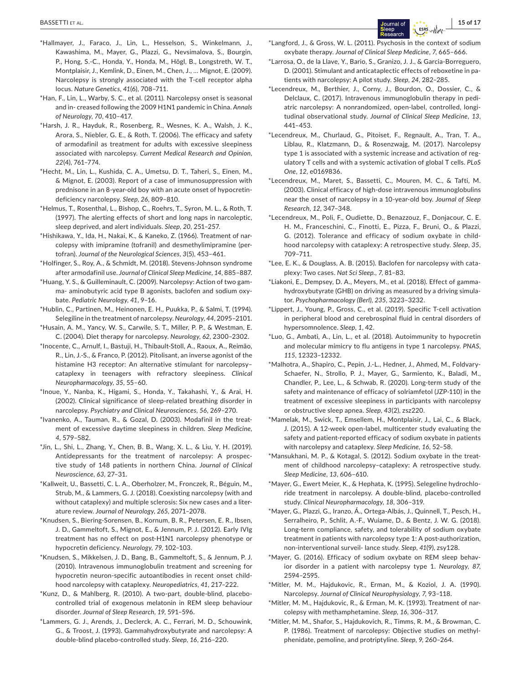- \*Hallmayer, J., Faraco, J., Lin, L., Hesselson, S., Winkelmann, J., Kawashima, M., Mayer, G., Plazzi, G., Nevsimalova, S., Bourgin, P., Hong, S.-C., Honda, Y., Honda, M., Högl, B., Longstreth, W. T., Montplaisir, J., Kemlink, D., Einen, M., Chen, J., … Mignot, E. (2009). Narcolepsy is strongly associated with the T-cell receptor alpha locus. *Nature Genetics*, *41*(6), 708–711.
- \*Han, F., Lin, L., Warby, S. C., et al. (2011). Narcolepsy onset is seasonal and in- creased following the 2009 H1N1 pandemic in China. *Annals of Neurology*, *70*, 410–417.
- \*Harsh, J. R., Hayduk, R., Rosenberg, R., Wesnes, K. A., Walsh, J. K., Arora, S., Niebler, G. E., & Roth, T. (2006). The efficacy and safety of armodafinil as treatment for adults with excessive sleepiness associated with narcolepsy. *Current Medical Research and Opinion*, *22*(4), 761–774.
- \*Hecht, M., Lin, L., Kushida, C. A., Umetsu, D. T., Taheri, S., Einen, M., & Mignot, E. (2003). Report of a case of immunosuppression with prednisone in an 8-year-old boy with an acute onset of hypocretindeficiency narcolepsy. *Sleep*, *26*, 809–810.
- \*Helmus, T., Rosenthal, L., Bishop, C., Roehrs, T., Syron, M. L., & Roth, T. (1997). The alerting effects of short and long naps in narcoleptic, sleep deprived, and alert individuals. *Sleep*, *20*, 251–257.
- \*Hishikawa, Y., Ida, H., Nakai, K., & Kaneko, Z. (1966). Treatment of narcolepsy with imipramine (tofranil) and desmethylimipramine (pertofran). *Journal of the Neurological Sciences*, *3*(5), 453–461.
- \*Holfinger, S., Roy, A., & Schmidt, M. (2018). Stevens-Johnson syndrome after armodafinil use. *Journal of Clinical Sleep Medicine*, *14*, 885–887.
- \*Huang, Y. S., & Guilleminault, C. (2009). Narcolepsy: Action of two gamma- aminobutyric acid type B agonists, baclofen and sodium oxybate. *Pediatric Neurology*, *41*, 9–16.
- \*Hublin, C., Partinen, M., Heinonen, E. H., Puukka, P., & Salmi, T. (1994). Selegiline in the treatment of narcolepsy. *Neurology*, *44*, 2095–2101.
- \*Husain, A. M., Yancy, W. S., Carwile, S. T., Miller, P. P., & Westman, E. C. (2004). Diet therapy for narcolepsy. *Neurology*, *62*, 2300–2302.
- \*Inocente, C., Arnulf, I., Bastuji, H., Thibault-Stoll, A., Raoux, A., Reimão, R., Lin, J.-S., & Franco, P. (2012). Pitolisant, an inverse agonist of the histamine H3 receptor: An alternative stimulant for narcolepsy– cataplexy in teenagers with refractory sleepiness. *Clinical Neuropharmacology*, *35*, 55–60.
- \*Inoue, Y., Nanba, K., Higami, S., Honda, Y., Takahashi, Y., & Arai, H. (2002). Clinical significance of sleep-related breathing disorder in narcolepsy. *Psychiatry and Clinical Neurosciences*, *56*, 269–270.
- \*Ivanenko, A., Tauman, R., & Gozal, D. (2003). Modafinil in the treatment of excessive daytime sleepiness in children. *Sleep Medicine*, *4*, 579–582.
- \*Jin, L., Shi, L., Zhang, Y., Chen, B. B., Wang, X. L., & Liu, Y. H. (2019). Antidepressants for the treatment of narcolepsy: A prospective study of 148 patients in northern China. *Journal of Clinical Neuroscience*, *63*, 27–31.
- \*Kallweit, U., Bassetti, C. L. A., Oberholzer, M., Fronczek, R., Béguin, M., Strub, M., & Lammers, G. J. (2018). Coexisting narcolepsy (with and without cataplexy) and multiple sclerosis: Six new cases and a literature review. *Journal of Neurology*, *265*, 2071–2078.
- \*Knudsen, S., Biering-Sorensen, B., Kornum, B. R., Petersen, E. R., Ibsen, J. D., Gammeltoft, S., Mignot, E., & Jennum, P. J. (2012). Early IVIg treatment has no effect on post-H1N1 narcolepsy phenotype or hypocretin deficiency. *Neurology*, *79*, 102–103.
- \*Knudsen, S., Mikkelsen, J. D., Bang, B., Gammeltoft, S., & Jennum, P. J. (2010). Intravenous immunoglobulin treatment and screening for hypocretin neuron-specific autoantibodies in recent onset childhood narcolepsy with cataplexy. *Neuropediatrics*, *41*, 217–222.
- \*Kunz, D., & Mahlberg, R. (2010). A two-part, double-blind, placebocontrolled trial of exogenous melatonin in REM sleep behaviour disorder. *Journal of Sleep Research*, *19*, 591–596.
- \*Lammers, G. J., Arends, J., Declerck, A. C., Ferrari, M. D., Schouwink, G., & Troost, J. (1993). Gammahydroxybutyrate and narcolepsy: A double-blind placebo-controlled study. *Sleep*, *16*, 216–220.
- \*Langford, J., & Gross, W. L. (2011). Psychosis in the context of sodium oxybate therapy. *Journal of Clinical Sleep Medicine*, *7*, 665–666.
- \*Larrosa, O., de la Llave, Y., Bario, S., Granizo, J. J., & Garcia-Borreguero, D. (2001). Stimulant and anticataplectic effects of reboxetine in patients with narcolepsy: A pilot study. *Sleep*, *24*, 282–285.
- \*Lecendreux, M., Berthier, J., Corny, J., Bourdon, O., Dossier, C., & Delclaux, C. (2017). Intravenous immunoglobulin therapy in pediatric narcolepsy: A nonrandomized, open-label, controlled, longitudinal observational study. *Journal of Clinical Sleep Medicine*, *13*, 441–453.
- \*Lecendreux, M., Churlaud, G., Pitoiset, F., Regnault, A., Tran, T. A., Liblau, R., Klatzmann, D., & Rosenzwajg, M. (2017). Narcolepsy type 1 is associated with a systemic increase and activation of regulatory T cells and with a systemic activation of global T cells. *PLoS One*, *12*, e0169836.
- \*Lecendreux, M., Maret, S., Bassetti, C., Mouren, M. C., & Tafti, M. (2003). Clinical efficacy of high-dose intravenous immunoglobulins near the onset of narcolepsy in a 10-year-old boy. *Journal of Sleep Research*, *12*, 347–348.
- \*Lecendreux, M., Poli, F., Oudiette, D., Benazzouz, F., Donjacour, C. E. H. M., Franceschini, C., Finotti, E., Pizza, F., Bruni, O., & Plazzi, G. (2012). Tolerance and efficacy of sodium oxybate in childhood narcolepsy with cataplexy: A retrospective study. *Sleep*, *35*, 709–711.
- \*Lee, E. K., & Douglass, A. B. (2015). Baclofen for narcolepsy with cataplexy: Two cases. *Nat Sci Sleep.*, *7*, 81–83.
- \*Liakoni, E., Dempsey, D. A., Meyers, M., et al. (2018). Effect of gammahydroxybutyrate (GHB) on driving as measured by a driving simulator. *Psychopharmacology (Berl)*, *235*, 3223–3232.
- \*Lippert, J., Young, P., Gross, C., et al. (2019). Specific T-cell activation in peripheral blood and cerebrospinal fluid in central disorders of hypersomnolence. *Sleep*, *1*, 42.
- \*Luo, G., Ambati, A., Lin, L., et al. (2018). Autoimmunity to hypocretin and molecular mimicry to flu antigens in type 1 narcolepsy. *PNAS*, *115*, 12323–12332.
- \*Malhotra, A., Shapiro, C., Pepin, J.-L., Hedner, J., Ahmed, M., Foldvary-Schaefer, N., Strollo, P. J., Mayer, G., Sarmiento, K., Baladi, M., Chandler, P., Lee, L., & Schwab, R. (2020). Long-term study of the safety and maintenance of efficacy of solriamfetol (JZP-110) in the treatment of excessive sleepiness in participants with narcolepsy or obstructive sleep apnea. *Sleep*, *43*(2), zsz220.
- \*Mamelak, M., Swick, T., Emsellem, H., Montplaisir, J., Lai, C., & Black, J. (2015). A 12-week open-label, multicenter study evaluating the safety and patient-reported efficacy of sodium oxybate in patients with narcolepsy and cataplexy. *Sleep Medicine*, *16*, 52–58.
- \*Mansukhani, M. P., & Kotagal, S. (2012). Sodium oxybate in the treatment of childhood narcolepsy–cataplexy: A retrospective study. *Sleep Medicine*, *13*, 606–610.
- \*Mayer, G., Ewert Meier, K., & Hephata, K. (1995). Selegeline hydrochloride treatment in narcolepsy. A double-blind, placebo-controlled study. *Clinical Neuropharmacology*, *18*, 306–319.
- \*Mayer, G., Plazzi, G., Iranzo, Á., Ortega-Albás, J., Quinnell, T., Pesch, H., Serralheiro, P., Schlit, A.-F., Wuiame, D., & Bentz, J. W. G. (2018). Long-term compliance, safety, and tolerability of sodium oxybate treatment in patients with narcolepsy type 1: A post-authorization, non-interventional surveil- lance study. *Sleep*, *41*(9), zsy128.
- \*Mayer, G. (2016). Efficacy of sodium oxybate on REM sleep behavior disorder in a patient with narcolepsy type 1. *Neurology*, *87*, 2594–2595.
- \*Mitler, M. M., Hajdukovic, R., Erman, M., & Koziol, J. A. (1990). Narcolepsy. *Journal of Clinical Neurophysiology*, *7*, 93–118.
- \*Mitler, M. M., Hajdukovic, R., & Erman, M. K. (1993). Treatment of narcolepsy with methamphetamine. *Sleep*, *16*, 306–317.
- \*Mitler, M. M., Shafor, S., Hajdukovich, R., Timms, R. M., & Browman, C. P. (1986). Treatment of narcolepsy: Objective studies on methylphenidate, pemoline, and protriptyline. *Sleep*, *9*, 260–264.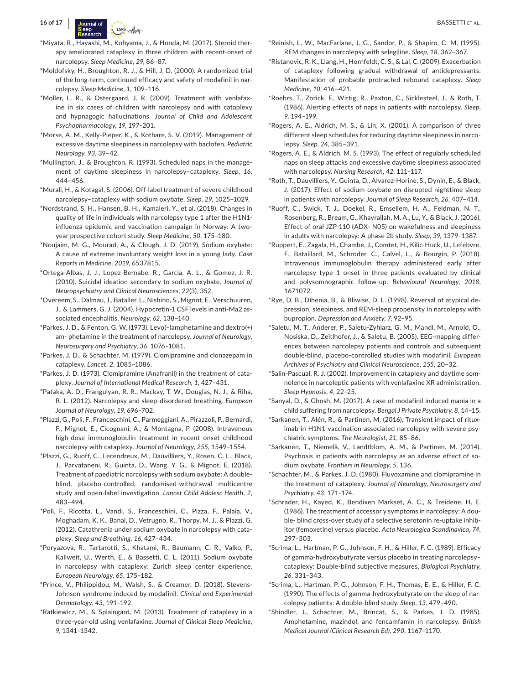- \*Miyata, R., Hayashi, M., Kohyama, J., & Honda, M. (2017). Steroid therapy ameliorated cataplexy in three children with recent-onset of narcolepsy. *Sleep Medicine*, *29*, 86–87.
- \*Moldofsky, H., Broughton, R. J., & Hill, J. D. (2000). A randomized trial of the long-term, continued efficacy and safety of modafinil in narcolepsy. *Sleep Medicine*, *1*, 109–116.
- \*Moller, L. R., & Ostergaard, J. R. (2009). Treatment with venlafaxine in six cases of children with narcolepsy and with cataplexy and hypnagogic hallucinations. *Journal of Child and Adolescent Psychopharmacology*, *19*, 197–201.
- \*Morse, A. M., Kelly-Pieper, K., & Kothare, S. V. (2019). Management of excessive daytime sleepiness in narcolepsy with baclofen. *Pediatric Neurology*, *93*, 39–42.
- \*Mullington, J., & Broughton, R. (1993). Scheduled naps in the management of daytime sleepiness in narcolepsy–cataplexy. *Sleep*, *16*, 444–456.
- \*Murali, H., & Kotagal, S. (2006). Off-label treatment of severe childhood narcolepsy–cataplexy with sodium oxybate. *Sleep*, *29*, 1025–1029.
- \*Nordstrand, S. H., Hansen, B. H., Kamaleri, Y., et al. (2018). Changes in quality of life in individuals with narcolepsy type 1 after the H1N1 influenza epidemic and vaccination campaign in Norway: A twoyear prospective cohort study. *Sleep Medicine*, *50*, 175–180.
- \*Noujaim, M. G., Mourad, A., & Clough, J. D. (2019). Sodium oxybate: A cause of extreme involuntary weight loss in a young lady. *Case Reports in Medicine*, *2019*, 6537815.
- \*Ortega-Albas, J. J., Lopez-Bernabe, R., Garcia, A. L., & Gomez, J. R. (2010). Suicidal ideation secondary to sodium oxybate. *Journal of Neuropsychiatry and Clinical Neurosciences*, *22*(3), 352.
- \*Overeem, S., Dalmau, J., Bataller, L., Nishino, S., Mignot, E., Verschuuren, J., & Lammers, G. J. (2004). Hypocretin-1 CSF levels in anti-Ma2 associated encephalitis. *Neurology*, *62*, 138–140.
- \*Parkes, J. D., & Fenton, G. W. (1973). Levo(–)amphetamine and dextro(+) am- phetamine in the treatment of narcolepsy. *Journal of Neurology, Neurosurgery and Psychiatry*, *36*, 1076–1081.
- \*Parkes, J. D., & Schachter, M. (1979). Clomipramine and clonazepam in cataplexy. *Lancet*, *2*, 1085–1086.
- \*Parkes, J. D. (1973). Clomipramine (Anafranil) in the treatment of cataplexy. *Journal of International Medical Research*, *1*, 427–431.
- \*Pataka, A. D., Frangulyan, R. R., Mackay, T. W., Douglas, N. J., & Riha, R. L. (2012). Narcolepsy and sleep-disordered breathing. *European Journal of Neurology*, *19*, 696–702.
- \*Plazzi, G., Poli, F., Franceschini, C., Parmeggiani, A., Pirazzoli, P., Bernardi, F., Mignot, E., Cicognani, A., & Montagna, P. (2008). Intravenous high-dose immunoglobulin treatment in recent onset childhood narcolepsy with cataplexy. *Journal of Neurology*, *255*, 1549–1554.
- \*Plazzi, G., Ruoff, C., Lecendreux, M., Dauvilliers, Y., Rosen, C. L., Black, J., Parvataneni, R., Guinta, D., Wang, Y. G., & Mignot, E. (2018). Treatment of paediatric narcolepsy with sodium oxybate: A doubleblind, placebo-controlled, randomised-withdrawal multicentre study and open-label investigation. *Lancet Child Adolesc Health*, *2*, 483–494.
- \*Poli, F., Ricotta, L., Vandi, S., Franceschini, C., Pizza, F., Palaia, V., Moghadam, K. K., Banal, D., Vetrugno, R., Thorpy, M. J., & Plazzi, G. (2012). Catathrenia under sodium oxybate in narcolepsy with cataplexy. *Sleep and Breathing*, *16*, 427–434.
- \*Poryazova, R., Tartarotti, S., Khatami, R., Baumann, C. R., Valko, P., Kallweit, U., Werth, E., & Bassetti, C. L. (2011). Sodium oxybate in narcolepsy with cataplexy: Zurich sleep center experience. *European Neurology*, *65*, 175–182.
- \*Prince, V., Philippidou, M., Walsh, S., & Creamer, D. (2018). Stevens-Johnson syndrome induced by modafinil. *Clinical and Experimental Dermatology*, *43*, 191–192.
- \*Ratkiewicz, M., & Splaingard, M. (2013). Treatment of cataplexy in a three-year-old using venlafaxine. *Journal of Clinical Sleep Medicine*, *9*, 1341–1342.
- \*Reinish, L. W., MacFarlane, J. G., Sandor, P., & Shapiro, C. M. (1995). REM changes in narcolepsy with selegiline. *Sleep*, *18*, 362–367.
- \*Ristanovic, R. K., Liang, H., Hornfeldt, C. S., & Lai, C. (2009). Exacerbation of cataplexy following gradual withdrawal of antidepressants: Manifestation of probable protracted rebound cataplexy. *Sleep Medicine*, *10*, 416–421.
- \*Roehrs, T., Zorick, F., Wittig, R., Paxton, C., Sicklesteel, J., & Roth, T. (1986). Alerting effects of naps in patients with narcolepsy. *Sleep*, *9*, 194–199.
- \*Rogers, A. E., Aldrich, M. S., & Lin, X. (2001). A comparison of three different sleep schedules for reducing daytime sleepiness in narcolepsy. *Sleep*, *24*, 385–391.
- \*Rogers, A. E., & Aldrich, M. S. (1993). The effect of regularly scheduled naps on sleep attacks and excessive daytime sleepiness associated with narcolepsy. *Nursing Research*, *42*, 111–117.
- \*Roth, T., Dauvilliers, Y., Guinta, D., Alvarez-Horine, S., Dynin, E., & Black, J. (2017). Effect of sodium oxybate on disrupted nighttime sleep in patients with narcolepsy. *Journal of Sleep Research*, *26*, 407–414.
- \*Ruoff, C., Swick, T. J., Doekel, R., Emsellem, H. A., Feldman, N. T., Rosenberg, R., Bream, G., Khayrallah, M. A., Lu, Y., & Black, J. (2016). Effect of oral JZP-110 (ADX- N05) on wakefulness and sleepiness in adults with narcolepsy: A phase 2b study. *Sleep*, *39*, 1379–1387.
- \*Ruppert, E., Zagala, H., Chambe, J., Comtet, H., Kilic-Huck, U., Lefebvre, F., Bataillard, M., Schroder, C., Calvel, L., & Bourgin, P. (2018). Intravenous immunoglobulin therapy administered early after narcolepsy type 1 onset in three patients evaluated by clinical and polysomnographic follow-up. *Behavioural Neurology*, *2018*, 1671072.
- \*Rye, D. B., Dihenia, B., & Bliwise, D. L. (1998). Reversal of atypical depression, sleepiness, and REM-sleep propensity in narcolepsy with bupropion. *Depression and Anxiety*, *7*, 92–95.
- \*Saletu, M. T., Anderer, P., Saletu-Zyhlarz, G. M., Mandl, M., Arnold, O., Nosiska, D., Zeitlhofer, J., & Saletu, B. (2005). EEG-mapping differences between narcolepsy patients and controls and subsequent double-blind, placebo-controlled studies with modafinil. *European Archives of Psychiatry and Clinical Neuroscience*, *255*, 20–32.
- \*Salin-Pascual, R. J. (2002). Improvement in cataplexy and daytime somnolence in narcoleptic patients with venlafaxine XR administration. *Sleep Hypnosis*, *4*, 22–25.
- \*Sanyal, D., & Ghosh, M. (2017). A case of modafinil induced mania in a child suffering from narcolepsy. *Bengal J Private Psychiatry*, *8*, 14–15.
- \*Sarkanen, T., Alén, R., & Partinen, M. (2016). Transient impact of rituximab in H1N1 vaccination-associated narcolepsy with severe psychiatric symptoms. *The Neurologist*, *21*, 85–86.
- \*Sarkanen, T., Niemelä, V., Landtblom, A. M., & Partinen, M. (2014). Psychosis in patients with narcolepsy as an adverse effect of sodium oxybate. *Frontiers in Neurology*, *5*, 136.
- \*Schachter, M., & Parkes, J. D. (1980). Fluvoxamine and clomipramine in the treatment of cataplexy. *Journal of Neurology, Neurosurgery and Psychiatry*, *43*, 171–174.
- \*Schrader, H., Kayed, K., Bendixen Markset, A. C., & Treidene, H. E. (1986). The treatment of accessor y symptoms in narcolepsy: A double- blind cross-over study of a selective serotonin re-uptake inhibitor (femoxetine) versus placebo. *Acta Neurologica Scandinavica*, *74*, 297–303.
- \*Scrima, L., Hartman, P. G., Johnson, F. H., & Hiller, F. C. (1989). Efficacy of gamma-hydroxybutyrate versus placebo in treating narcolepsy– cataplexy: Double-blind subjective measures. *Biological Psychiatry*, *26*, 331–343.
- \*Scrima, L., Hartman, P. G., Johnson, F. H., Thomas, E. E., & Hiller, F. C. (1990). The effects of gamma-hydroxybutyrate on the sleep of narcolepsy patients: A double-blind study. *Sleep*, *13*, 479–490.
- \*Shindler, J., Schachter, M., Brincat, S., & Parkes, J. D. (1985). Amphetamine, mazindol, and fencamfamin in narcolepsy. *British Medical Journal (Clinical Research Ed)*, *290*, 1167–1170.